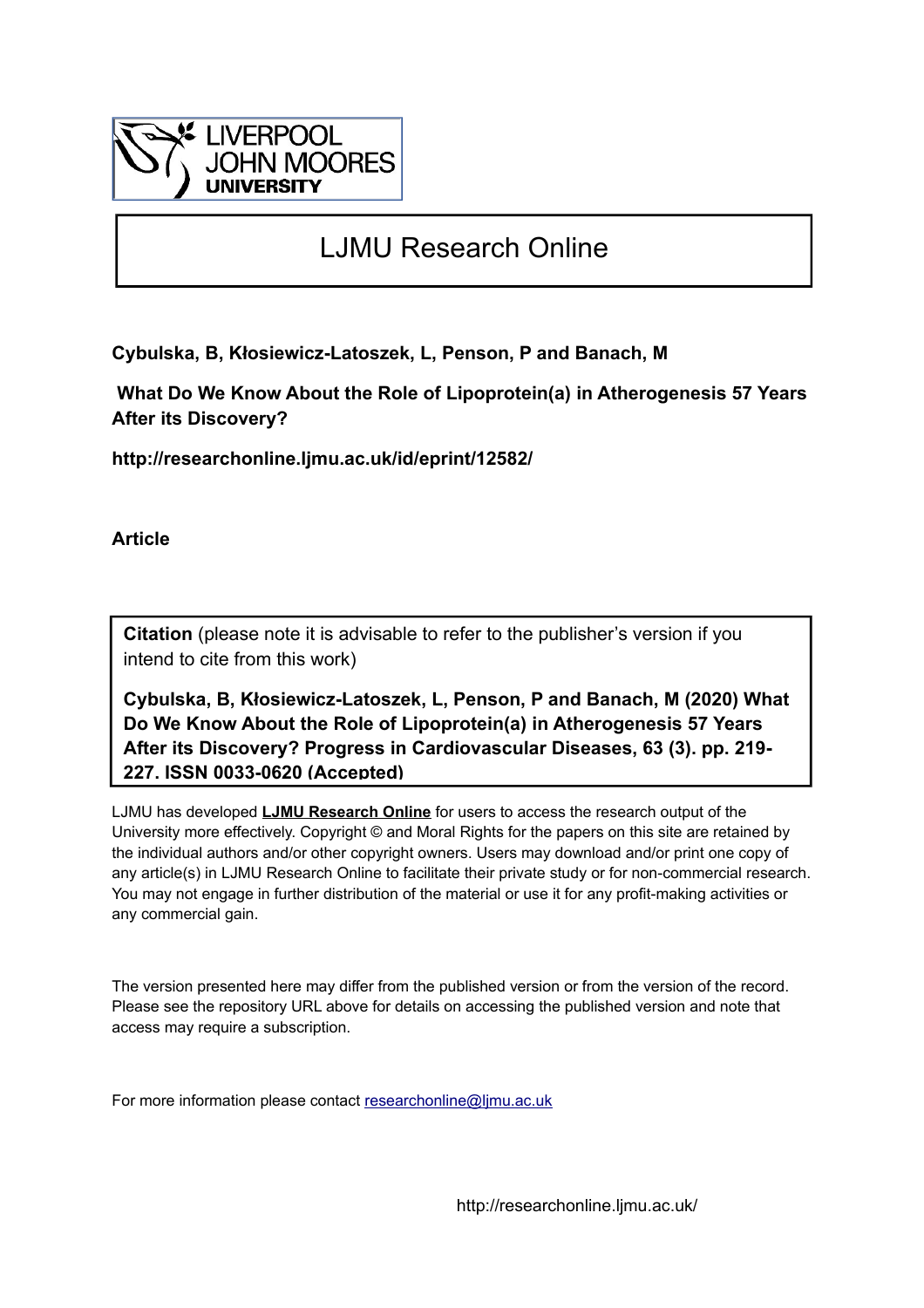

# LJMU Research Online

**Cybulska, B, Kłosiewicz-Latoszek, L, Penson, P and Banach, M**

 **What Do We Know About the Role of Lipoprotein(a) in Atherogenesis 57 Years After its Discovery?**

**http://researchonline.ljmu.ac.uk/id/eprint/12582/**

**Article**

**Citation** (please note it is advisable to refer to the publisher's version if you intend to cite from this work)

**Cybulska, B, Kłosiewicz-Latoszek, L, Penson, P and Banach, M (2020) What Do We Know About the Role of Lipoprotein(a) in Atherogenesis 57 Years After its Discovery? Progress in Cardiovascular Diseases, 63 (3). pp. 219- 227. ISSN 0033-0620 (Accepted)** 

LJMU has developed **[LJMU Research Online](http://researchonline.ljmu.ac.uk/)** for users to access the research output of the University more effectively. Copyright © and Moral Rights for the papers on this site are retained by the individual authors and/or other copyright owners. Users may download and/or print one copy of any article(s) in LJMU Research Online to facilitate their private study or for non-commercial research. You may not engage in further distribution of the material or use it for any profit-making activities or any commercial gain.

The version presented here may differ from the published version or from the version of the record. Please see the repository URL above for details on accessing the published version and note that access may require a subscription.

For more information please contact [researchonline@ljmu.ac.uk](mailto:researchonline@ljmu.ac.uk)

http://researchonline.ljmu.ac.uk/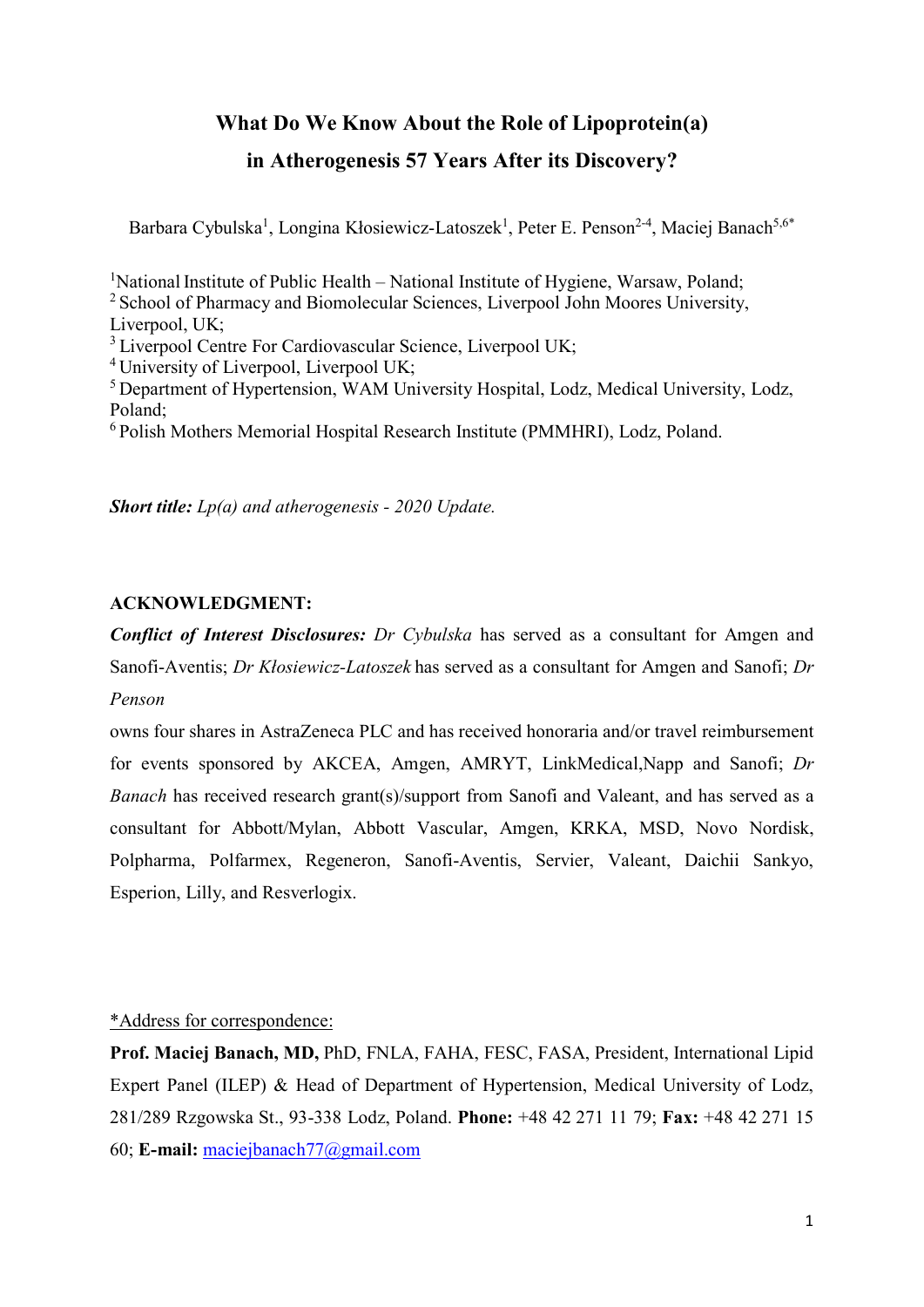# **What Do We Know About the Role of Lipoprotein(a) in Atherogenesis 57 Years After its Discovery?**

Barbara Cybulska<sup>1</sup>, Longina Kłosiewicz-Latoszek<sup>1</sup>, Peter E. Penson<sup>2-4</sup>, Maciej Banach<sup>5,6\*</sup>

<sup>1</sup>National Institute of Public Health - National Institute of Hygiene, Warsaw, Poland; <sup>2</sup> School of Pharmacy and Biomolecular Sciences, Liverpool John Moores University, Liverpool, UK; <sup>3</sup> Liverpool Centre For Cardiovascular Science, Liverpool UK; <sup>4</sup> University of Liverpool, Liverpool UK; <sup>5</sup> Department of Hypertension, WAM University Hospital, Lodz, Medical University, Lodz, Poland; <sup>6</sup> Polish Mothers Memorial Hospital Research Institute (PMMHRI), Lodz, Poland.

*Short title: Lp(a) and atherogenesis - 2020 Update.* 

# **ACKNOWLEDGMENT:**

*Conflict of Interest Disclosures: Dr Cybulska* has served as a consultant for Amgen and Sanofi-Aventis; *Dr Kłosiewicz-Latoszek* has served as a consultant for Amgen and Sanofi; *Dr Penson*

owns four shares in AstraZeneca PLC and has received honoraria and/or travel reimbursement for events sponsored by AKCEA, Amgen, AMRYT, LinkMedical,Napp and Sanofi; *Dr Banach* has received research grant(s)/support from Sanofi and Valeant, and has served as a consultant for Abbott/Mylan, Abbott Vascular, Amgen, KRKA, MSD, Novo Nordisk, Polpharma, Polfarmex, Regeneron, Sanofi-Aventis, Servier, Valeant, Daichii Sankyo, Esperion, Lilly, and Resverlogix.

# \*Address for correspondence:

**Prof. Maciej Banach, MD,** PhD, FNLA, FAHA, FESC, FASA, President, International Lipid Expert Panel (ILEP) & Head of Department of Hypertension, Medical University of Lodz, 281/289 Rzgowska St., 93-338 Lodz, Poland. **Phone:** +48 42 271 11 79; **Fax:** +48 42 271 15 60; **E-mail:** [maciejbanach77@gmail.com](mailto:maciejbanach@aol.co.uk)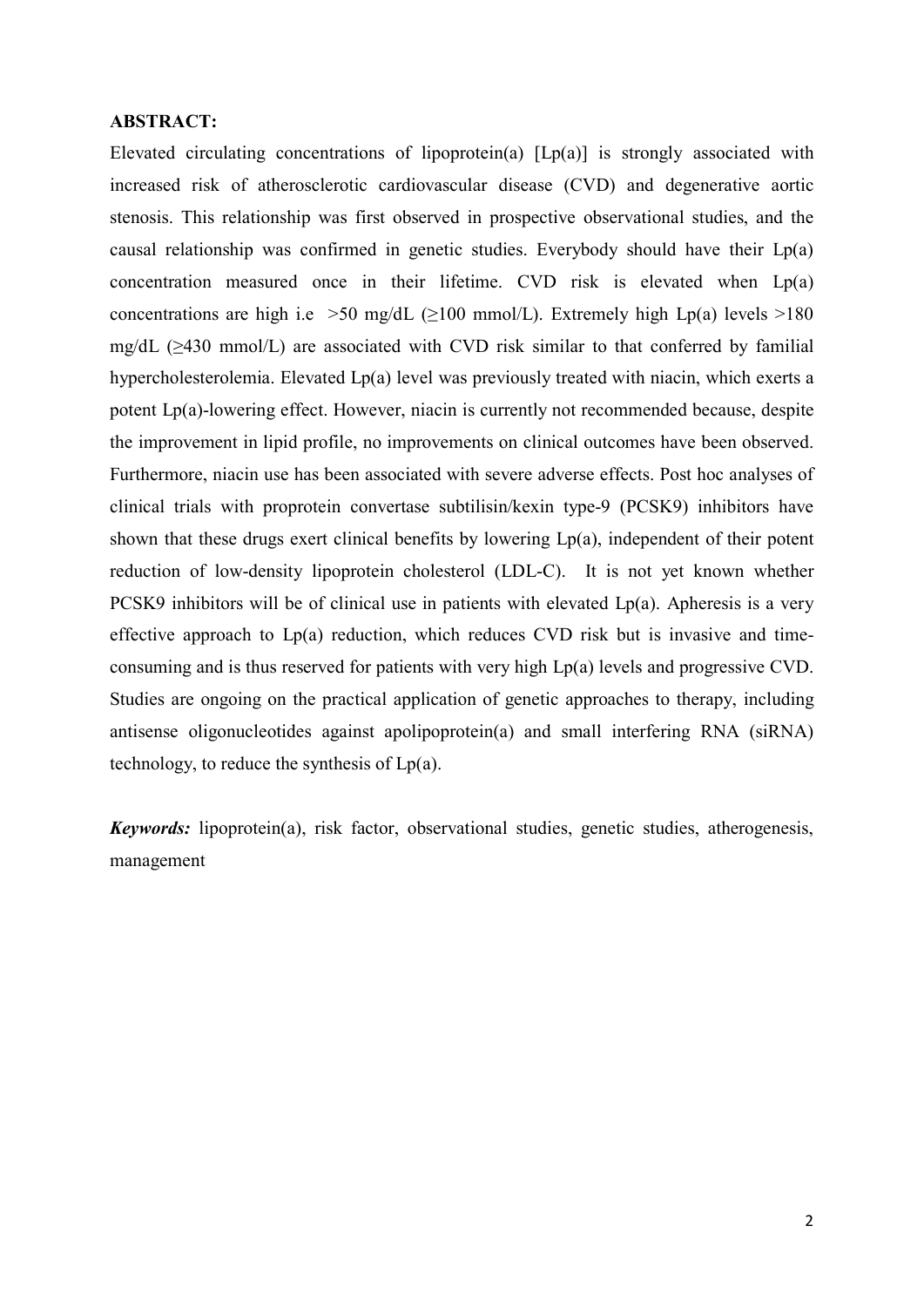#### **ABSTRACT:**

Elevated circulating concentrations of lipoprotein(a)  $[Lp(a)]$  is strongly associated with increased risk of atherosclerotic cardiovascular disease (CVD) and degenerative aortic stenosis. This relationship was first observed in prospective observational studies, and the causal relationship was confirmed in genetic studies. Everybody should have their Lp(a) concentration measured once in their lifetime. CVD risk is elevated when  $Lp(a)$ concentrations are high i.e >50 mg/dL ( $\geq$ 100 mmol/L). Extremely high Lp(a) levels >180 mg/dL (≥430 mmol/L) are associated with CVD risk similar to that conferred by familial hypercholesterolemia. Elevated Lp(a) level was previously treated with niacin, which exerts a potent Lp(a)-lowering effect. However, niacin is currently not recommended because, despite the improvement in lipid profile, no improvements on clinical outcomes have been observed. Furthermore, niacin use has been associated with severe adverse effects. Post hoc analyses of clinical trials with proprotein convertase subtilisin/kexin type-9 (PCSK9) inhibitors have shown that these drugs exert clinical benefits by lowering Lp(a), independent of their potent reduction of low-density lipoprotein cholesterol (LDL-C). It is not yet known whether PCSK9 inhibitors will be of clinical use in patients with elevated Lp(a). Apheresis is a very effective approach to Lp(a) reduction, which reduces CVD risk but is invasive and timeconsuming and is thus reserved for patients with very high Lp(a) levels and progressive CVD. Studies are ongoing on the practical application of genetic approaches to therapy, including antisense oligonucleotides against apolipoprotein(a) and small interfering RNA (siRNA) technology, to reduce the synthesis of  $Lp(a)$ .

*Keywords:* lipoprotein(a), risk factor, observational studies, genetic studies, atherogenesis, management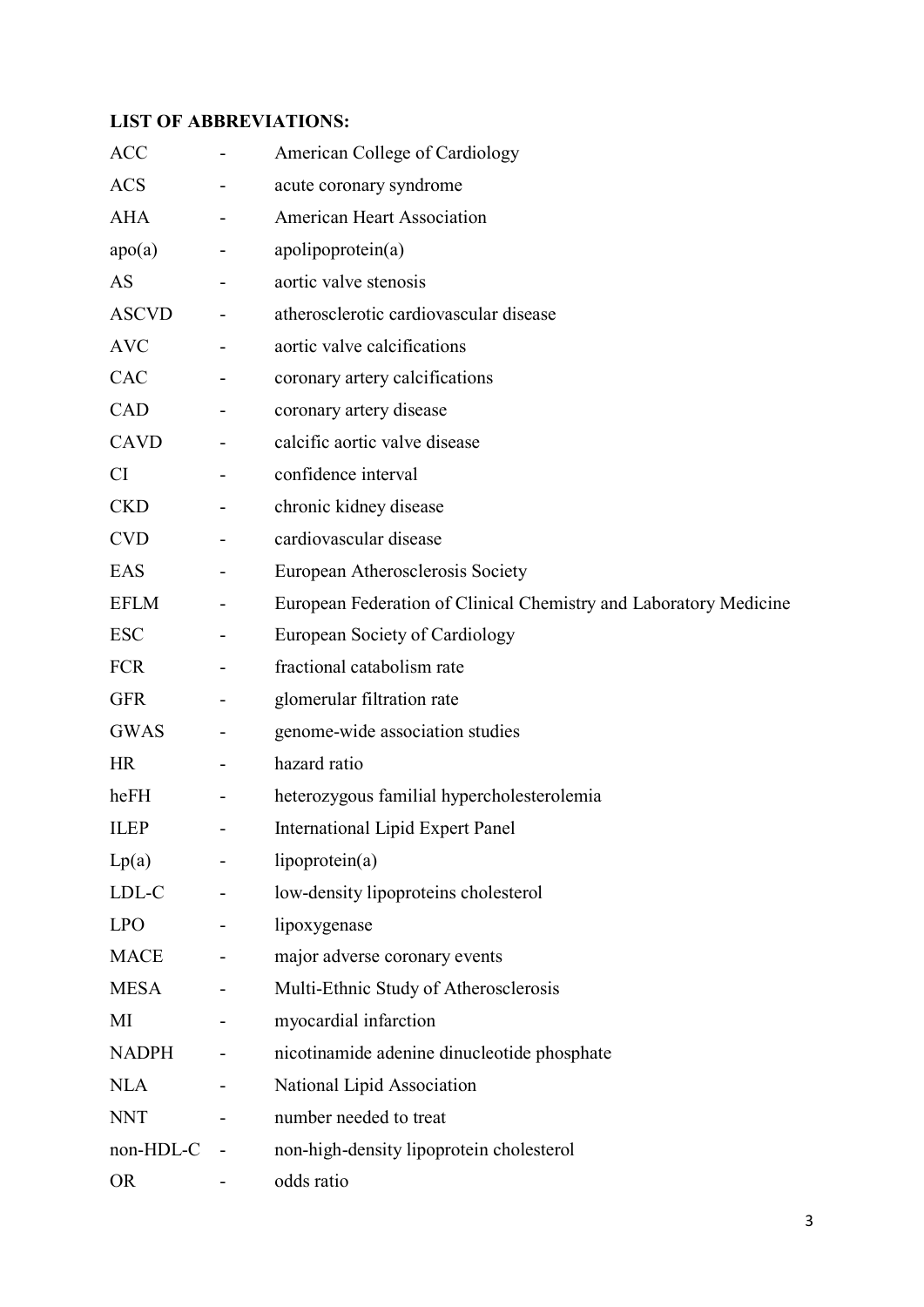# **LIST OF ABBREVIATIONS:**

| <b>ACC</b>       |   | American College of Cardiology                                    |
|------------------|---|-------------------------------------------------------------------|
| <b>ACS</b>       |   | acute coronary syndrome                                           |
| <b>AHA</b>       |   | <b>American Heart Association</b>                                 |
| apo(a)           |   | apolipoprotein(a)                                                 |
| AS               |   | aortic valve stenosis                                             |
| <b>ASCVD</b>     |   | atherosclerotic cardiovascular disease                            |
| <b>AVC</b>       |   | aortic valve calcifications                                       |
| <b>CAC</b>       |   | coronary artery calcifications                                    |
| CAD              |   | coronary artery disease                                           |
| <b>CAVD</b>      |   | calcific aortic valve disease                                     |
| CI               |   | confidence interval                                               |
| <b>CKD</b>       |   | chronic kidney disease                                            |
| <b>CVD</b>       |   | cardiovascular disease                                            |
| EAS              |   | European Atherosclerosis Society                                  |
| <b>EFLM</b>      | - | European Federation of Clinical Chemistry and Laboratory Medicine |
| <b>ESC</b>       |   | European Society of Cardiology                                    |
| <b>FCR</b>       |   | fractional catabolism rate                                        |
| <b>GFR</b>       |   | glomerular filtration rate                                        |
| <b>GWAS</b>      |   | genome-wide association studies                                   |
| HR               |   | hazard ratio                                                      |
| heFH             | - | heterozygous familial hypercholesterolemia                        |
| <b>ILEP</b>      |   | <b>International Lipid Expert Panel</b>                           |
| Lp(a)            |   | lipoprotein(a)                                                    |
| $LDL-C$          |   | low-density lipoproteins cholesterol                              |
| LPO <sub>1</sub> |   | lipoxygenase                                                      |
| MACE             |   | major adverse coronary events                                     |
| MESA             |   | Multi-Ethnic Study of Atherosclerosis                             |
| MI               |   | myocardial infarction                                             |
| <b>NADPH</b>     |   | nicotinamide adenine dinucleotide phosphate                       |
| <b>NLA</b>       | - | National Lipid Association                                        |
| <b>NNT</b>       |   | number needed to treat                                            |
| non-HDL-C        |   | non-high-density lipoprotein cholesterol                          |
| <b>OR</b>        |   | odds ratio                                                        |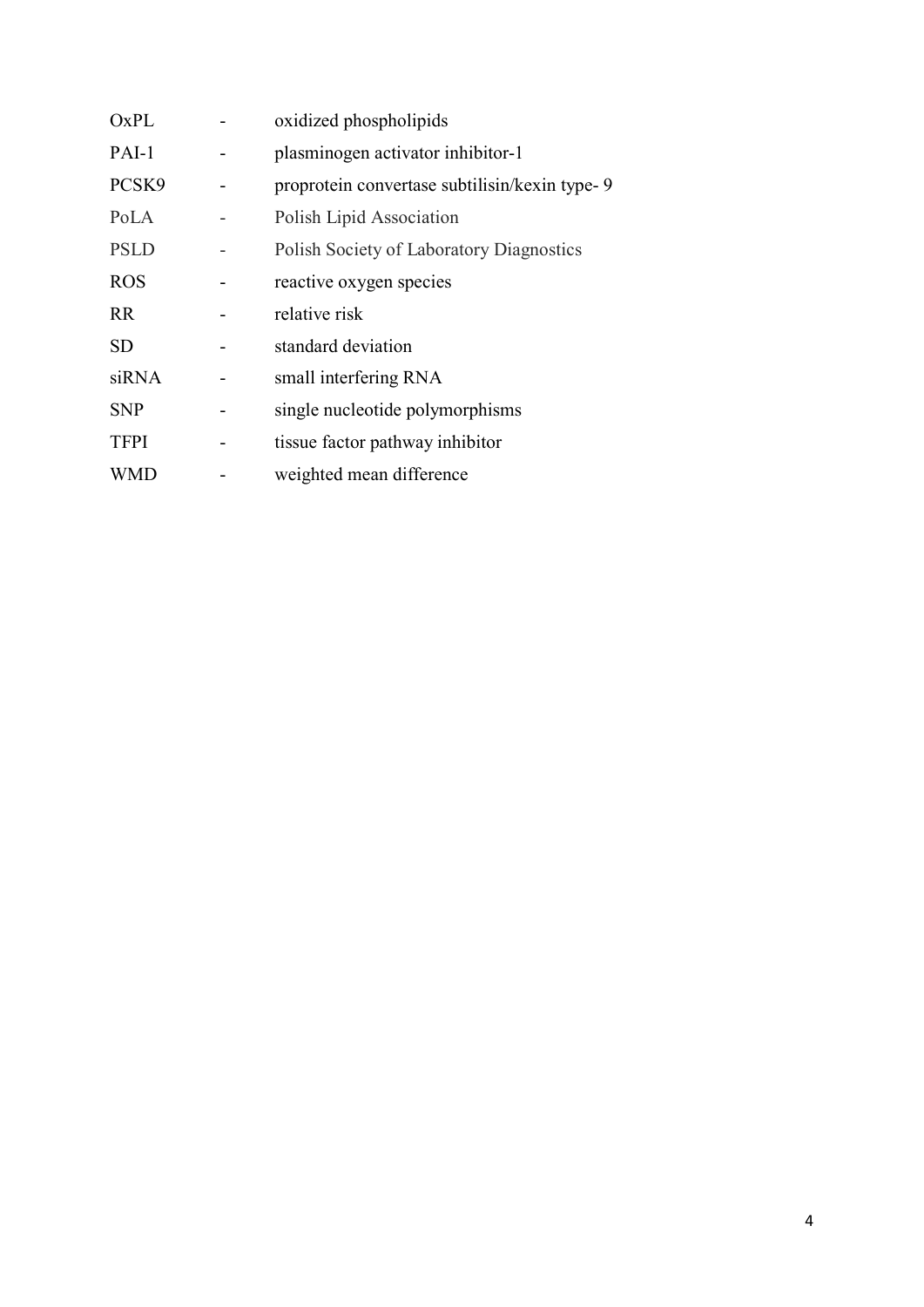| OxPL        | oxidized phospholipids                          |
|-------------|-------------------------------------------------|
| PAI-1       | plasminogen activator inhibitor-1               |
| PCSK9       | proprotein convertase subtilisin/kexin type-9   |
| PoLA        | Polish Lipid Association                        |
| <b>PSLD</b> | <b>Polish Society of Laboratory Diagnostics</b> |
| <b>ROS</b>  | reactive oxygen species                         |
| <b>RR</b>   | relative risk                                   |
| <b>SD</b>   | standard deviation                              |
| siRNA       | small interfering RNA                           |
| <b>SNP</b>  | single nucleotide polymorphisms                 |
| <b>TFPI</b> | tissue factor pathway inhibitor                 |
| WMD         | weighted mean difference                        |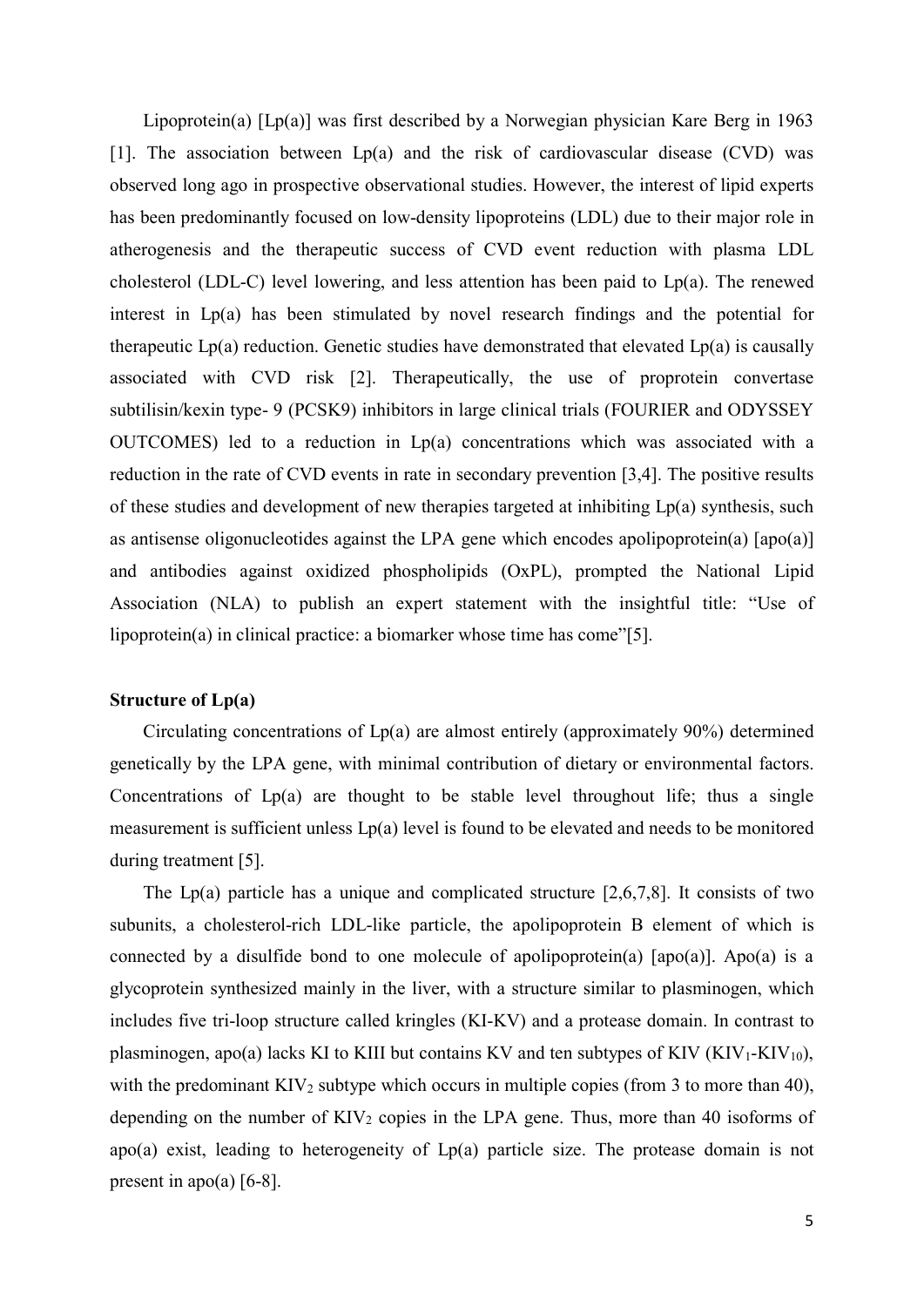Lipoprotein(a) [Lp(a)] was first described by a Norwegian physician Kare Berg in 1963 [1]. The association between  $Lp(a)$  and the risk of cardiovascular disease (CVD) was observed long ago in prospective observational studies. However, the interest of lipid experts has been predominantly focused on low-density lipoproteins (LDL) due to their major role in atherogenesis and the therapeutic success of CVD event reduction with plasma LDL cholesterol (LDL-C) level lowering, and less attention has been paid to Lp(a). The renewed interest in Lp(a) has been stimulated by novel research findings and the potential for therapeutic  $Lp(a)$  reduction. Genetic studies have demonstrated that elevated  $Lp(a)$  is causally associated with CVD risk [2]. Therapeutically, the use of proprotein convertase subtilisin/kexin type- 9 (PCSK9) inhibitors in large clinical trials (FOURIER and ODYSSEY OUTCOMES) led to a reduction in Lp(a) concentrations which was associated with a reduction in the rate of CVD events in rate in secondary prevention [3,4]. The positive results of these studies and development of new therapies targeted at inhibiting Lp(a) synthesis, such as antisense oligonucleotides against the LPA gene which encodes apolipoprotein(a) [apo(a)] and antibodies against oxidized phospholipids (OxPL), prompted the National Lipid Association (NLA) to publish an expert statement with the insightful title: "Use of lipoprotein(a) in clinical practice: a biomarker whose time has come"[5].

#### **Structure of Lp(a)**

Circulating concentrations of Lp(a) are almost entirely (approximately 90%) determined genetically by the LPA gene, with minimal contribution of dietary or environmental factors. Concentrations of  $Lp(a)$  are thought to be stable level throughout life; thus a single measurement is sufficient unless Lp(a) level is found to be elevated and needs to be monitored during treatment [5].

The Lp(a) particle has a unique and complicated structure  $[2,6,7,8]$ . It consists of two subunits, a cholesterol-rich LDL-like particle, the apolipoprotein B element of which is connected by a disulfide bond to one molecule of apolipoprotein(a)  $[apo(a)]$ . Apo(a) is a glycoprotein synthesized mainly in the liver, with a structure similar to plasminogen, which includes five tri-loop structure called kringles (KI-KV) and a protease domain. In contrast to plasminogen, apo(a) lacks KI to KIII but contains KV and ten subtypes of KIV ( $KIV<sub>1</sub>-KIV<sub>10</sub>$ ), with the predominant  $KIV<sub>2</sub>$  subtype which occurs in multiple copies (from 3 to more than 40), depending on the number of  $KIV<sub>2</sub>$  copies in the LPA gene. Thus, more than 40 isoforms of apo(a) exist, leading to heterogeneity of Lp(a) particle size. The protease domain is not present in apo(a)  $[6-8]$ .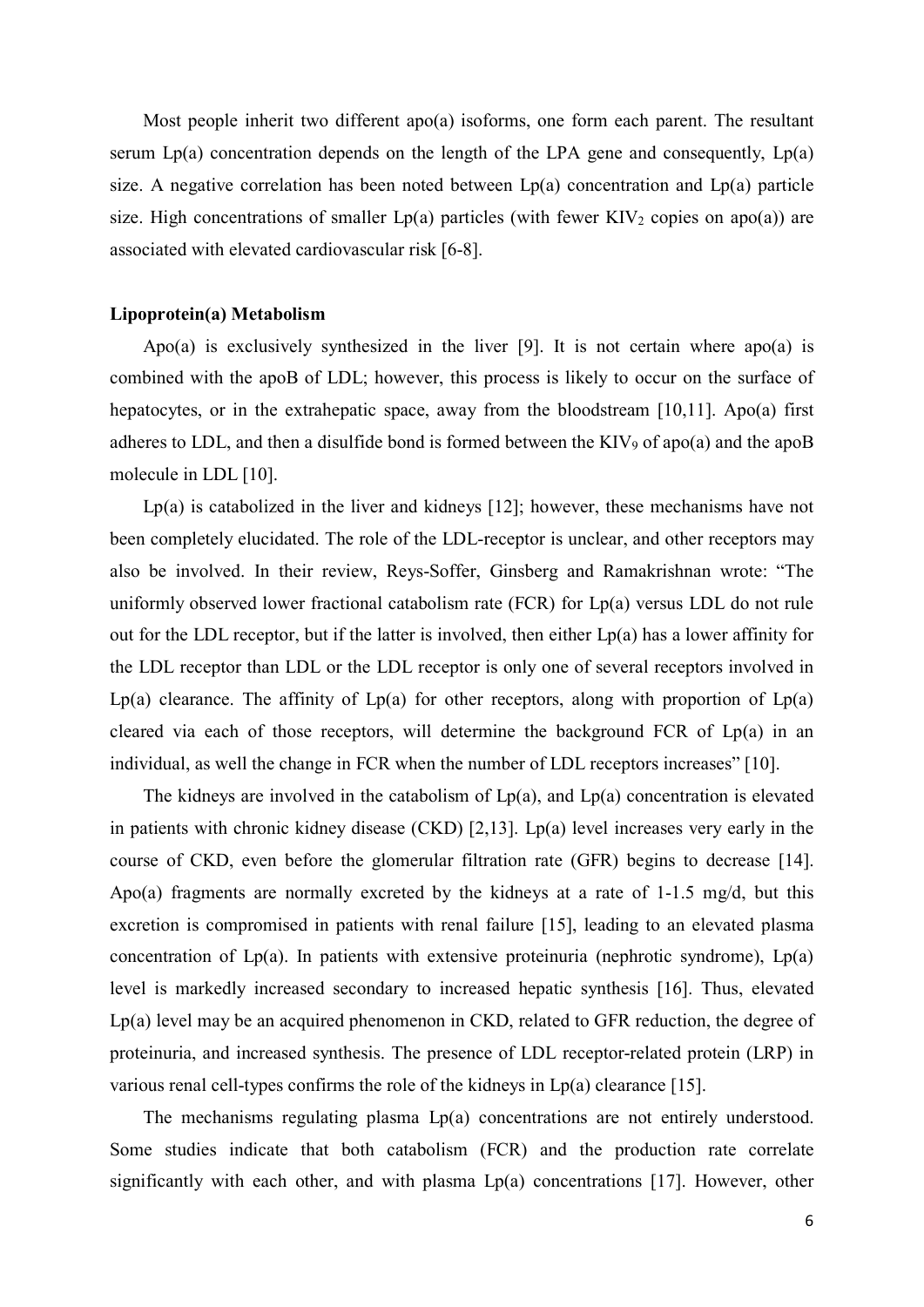Most people inherit two different apo(a) isoforms, one form each parent. The resultant serum  $Lp(a)$  concentration depends on the length of the LPA gene and consequently,  $Lp(a)$ size. A negative correlation has been noted between  $Lp(a)$  concentration and  $Lp(a)$  particle size. High concentrations of smaller  $Lp(a)$  particles (with fewer KIV<sub>2</sub> copies on apo(a)) are associated with elevated cardiovascular risk [6-8].

#### **Lipoprotein(a) Metabolism**

Apo(a) is exclusively synthesized in the liver [9]. It is not certain where apo(a) is combined with the apoB of LDL; however, this process is likely to occur on the surface of hepatocytes, or in the extrahepatic space, away from the bloodstream [10,11]. Apo(a) first adheres to LDL, and then a disulfide bond is formed between the KIV<sub>9</sub> of apo(a) and the apoB molecule in LDL [10].

Lp(a) is catabolized in the liver and kidneys [12]; however, these mechanisms have not been completely elucidated. The role of the LDL-receptor is unclear, and other receptors may also be involved. In their review, Reys-Soffer, Ginsberg and Ramakrishnan wrote: "The uniformly observed lower fractional catabolism rate (FCR) for Lp(a) versus LDL do not rule out for the LDL receptor, but if the latter is involved, then either  $Lp(a)$  has a lower affinity for the LDL receptor than LDL or the LDL receptor is only one of several receptors involved in  $Lp(a)$  clearance. The affinity of  $Lp(a)$  for other receptors, along with proportion of  $Lp(a)$ cleared via each of those receptors, will determine the background FCR of  $Lp(a)$  in an individual, as well the change in FCR when the number of LDL receptors increases" [10].

The kidneys are involved in the catabolism of  $Lp(a)$ , and  $Lp(a)$  concentration is elevated in patients with chronic kidney disease (CKD) [2,13]. Lp(a) level increases very early in the course of CKD, even before the glomerular filtration rate (GFR) begins to decrease [14]. Apo(a) fragments are normally excreted by the kidneys at a rate of  $1\n-1.5$  mg/d, but this excretion is compromised in patients with renal failure [15], leading to an elevated plasma concentration of  $Lp(a)$ . In patients with extensive proteinuria (nephrotic syndrome),  $Lp(a)$ level is markedly increased secondary to increased hepatic synthesis [16]. Thus, elevated Lp(a) level may be an acquired phenomenon in CKD, related to GFR reduction, the degree of proteinuria, and increased synthesis. The presence of LDL receptor-related protein (LRP) in various renal cell-types confirms the role of the kidneys in  $Lp(a)$  clearance [15].

The mechanisms regulating plasma Lp(a) concentrations are not entirely understood. Some studies indicate that both catabolism (FCR) and the production rate correlate significantly with each other, and with plasma  $Lp(a)$  concentrations [17]. However, other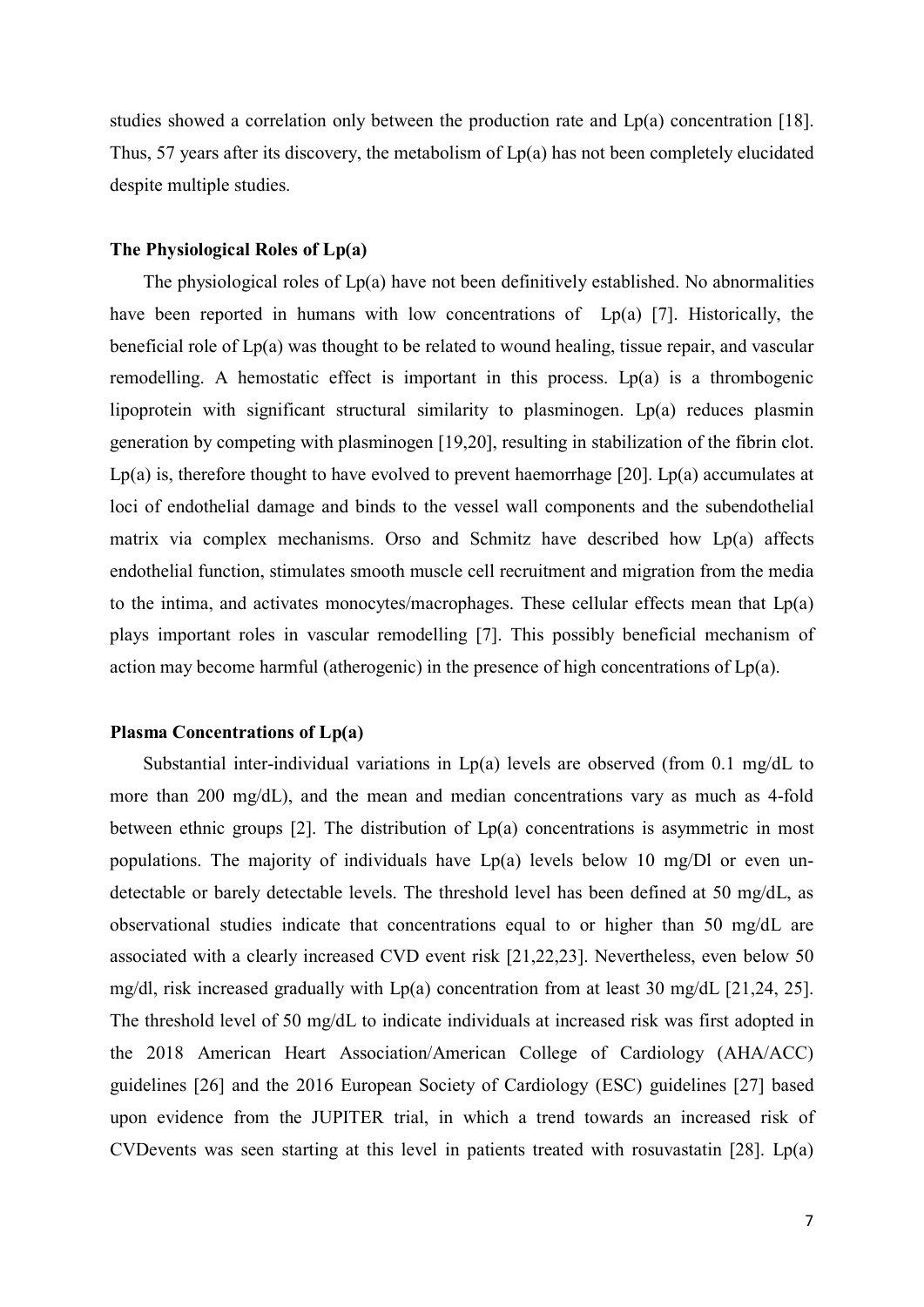studies showed a correlation only between the production rate and Lp(a) concentration [18]. Thus, 57 years after its discovery, the metabolism of  $Lp(a)$  has not been completely elucidated despite multiple studies.

#### **The Physiological Roles of Lp(a)**

The physiological roles of  $Lp(a)$  have not been definitively established. No abnormalities have been reported in humans with low concentrations of Lp(a) [7]. Historically, the beneficial role of Lp(a) was thought to be related to wound healing, tissue repair, and vascular remodelling. A hemostatic effect is important in this process.  $Lp(a)$  is a thrombogenic lipoprotein with significant structural similarity to plasminogen. Lp(a) reduces plasmin generation by competing with plasminogen [19,20], resulting in stabilization of the fibrin clot.  $Lp(a)$  is, therefore thought to have evolved to prevent haemorrhage [20].  $Lp(a)$  accumulates at loci of endothelial damage and binds to the vessel wall components and the subendothelial matrix via complex mechanisms. Orso and Schmitz have described how Lp(a) affects endothelial function, stimulates smooth muscle cell recruitment and migration from the media to the intima, and activates monocytes/macrophages. These cellular effects mean that  $Lp(a)$ plays important roles in vascular remodelling [7]. This possibly beneficial mechanism of action may become harmful (atherogenic) in the presence of high concentrations of Lp(a).

#### **Plasma Concentrations of Lp(a)**

Substantial inter-individual variations in  $Lp(a)$  levels are observed (from 0.1 mg/dL to more than 200 mg/dL), and the mean and median concentrations vary as much as 4-fold between ethnic groups  $[2]$ . The distribution of  $Lp(a)$  concentrations is asymmetric in most populations. The majority of individuals have  $Lp(a)$  levels below 10 mg/Dl or even undetectable or barely detectable levels. The threshold level has been defined at 50 mg/dL, as observational studies indicate that concentrations equal to or higher than 50 mg/dL are associated with a clearly increased CVD event risk [21,22,23]. Nevertheless, even below 50 mg/dl, risk increased gradually with Lp(a) concentration from at least 30 mg/dL [21,24, 25]. The threshold level of 50 mg/dL to indicate individuals at increased risk was first adopted in the 2018 American Heart Association/American College of Cardiology (AHA/ACC) guidelines [26] and the 2016 European Society of Cardiology (ESC) guidelines [27] based upon evidence from the JUPITER trial, in which a trend towards an increased risk of CVDevents was seen starting at this level in patients treated with rosuvastatin [28]. Lp(a)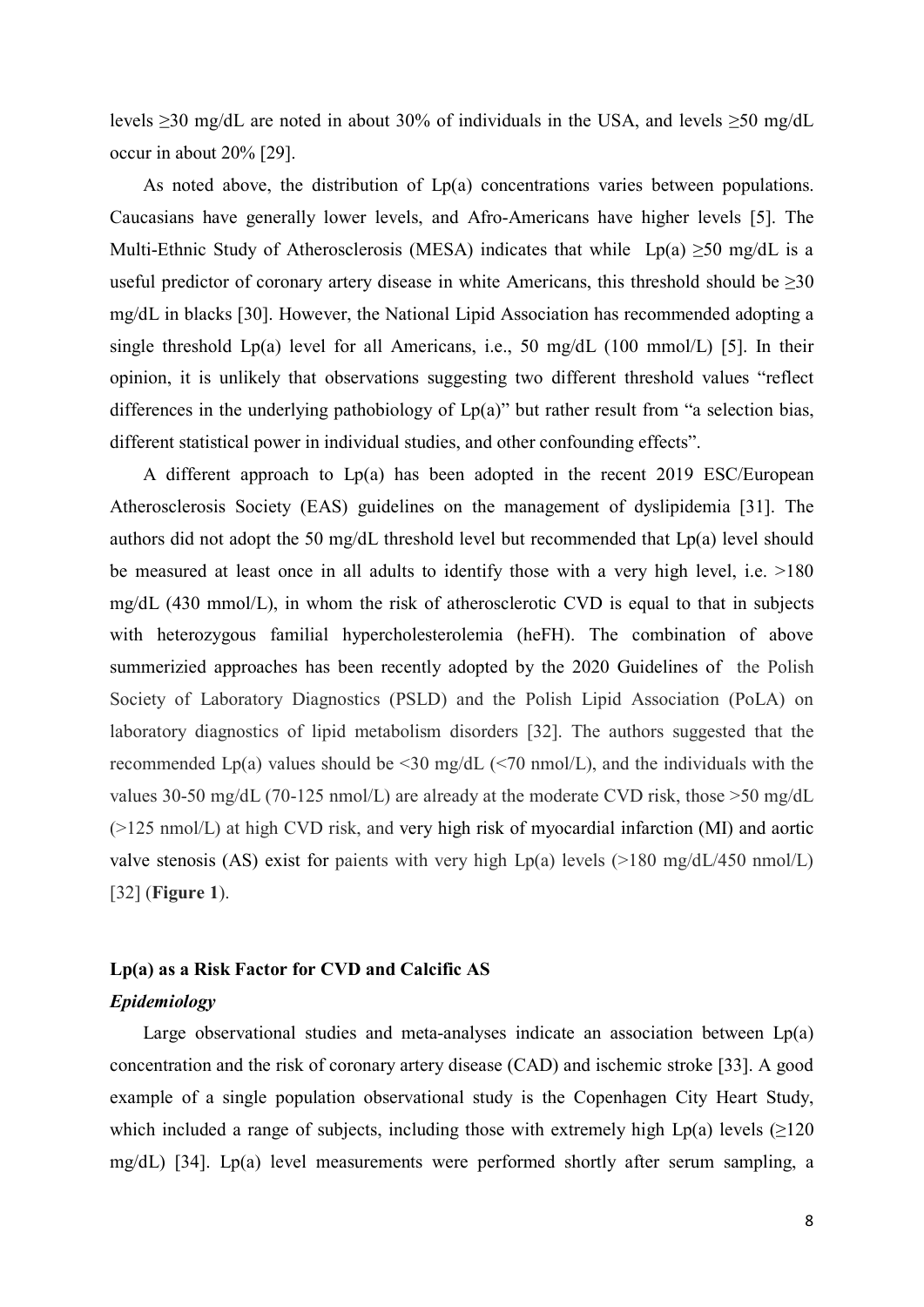levels  $\geq$ 30 mg/dL are noted in about 30% of individuals in the USA, and levels  $\geq$ 50 mg/dL occur in about 20% [29].

As noted above, the distribution of Lp(a) concentrations varies between populations. Caucasians have generally lower levels, and Afro-Americans have higher levels [5]. The Multi-Ethnic Study of Atherosclerosis (MESA) indicates that while Lp(a)  $\geq 50$  mg/dL is a useful predictor of coronary artery disease in white Americans, this threshold should be  $\geq 30$ mg/dL in blacks [30]. However, the National Lipid Association has recommended adopting a single threshold  $Lp(a)$  level for all Americans, i.e., 50 mg/dL (100 mmol/L) [5]. In their opinion, it is unlikely that observations suggesting two different threshold values "reflect differences in the underlying pathobiology of Lp(a)" but rather result from "a selection bias, different statistical power in individual studies, and other confounding effects".

A different approach to Lp(a) has been adopted in the recent 2019 ESC/European Atherosclerosis Society (EAS) guidelines on the management of dyslipidemia [31]. The authors did not adopt the 50 mg/dL threshold level but recommended that Lp(a) level should be measured at least once in all adults to identify those with a very high level, i.e. >180 mg/dL (430 mmol/L), in whom the risk of atherosclerotic CVD is equal to that in subjects with heterozygous familial hypercholesterolemia (heFH). The combination of above summerizied approaches has been recently adopted by the 2020 Guidelines of the Polish Society of Laboratory Diagnostics (PSLD) and the Polish Lipid Association (PoLA) on laboratory diagnostics of lipid metabolism disorders [32]. The authors suggested that the recommended Lp(a) values should be  $\leq$  30 mg/dL ( $\leq$  70 nmol/L), and the individuals with the values 30-50 mg/dL (70-125 nmol/L) are already at the moderate CVD risk, those >50 mg/dL (>125 nmol/L) at high CVD risk, and very high risk of myocardial infarction (MI) and aortic valve stenosis (AS) exist for paients with very high Lp(a) levels ( $>180 \text{ mg/d}$ L/450 nmol/L) [32] (**Figure 1**).

#### **Lp(a) as a Risk Factor for CVD and Calcific AS**

### *Epidemiology*

Large observational studies and meta-analyses indicate an association between Lp(a) concentration and the risk of coronary artery disease (CAD) and ischemic stroke [33]. A good example of a single population observational study is the Copenhagen City Heart Study, which included a range of subjects, including those with extremely high Lp(a) levels  $\geq 120$ mg/dL) [34]. Lp(a) level measurements were performed shortly after serum sampling, a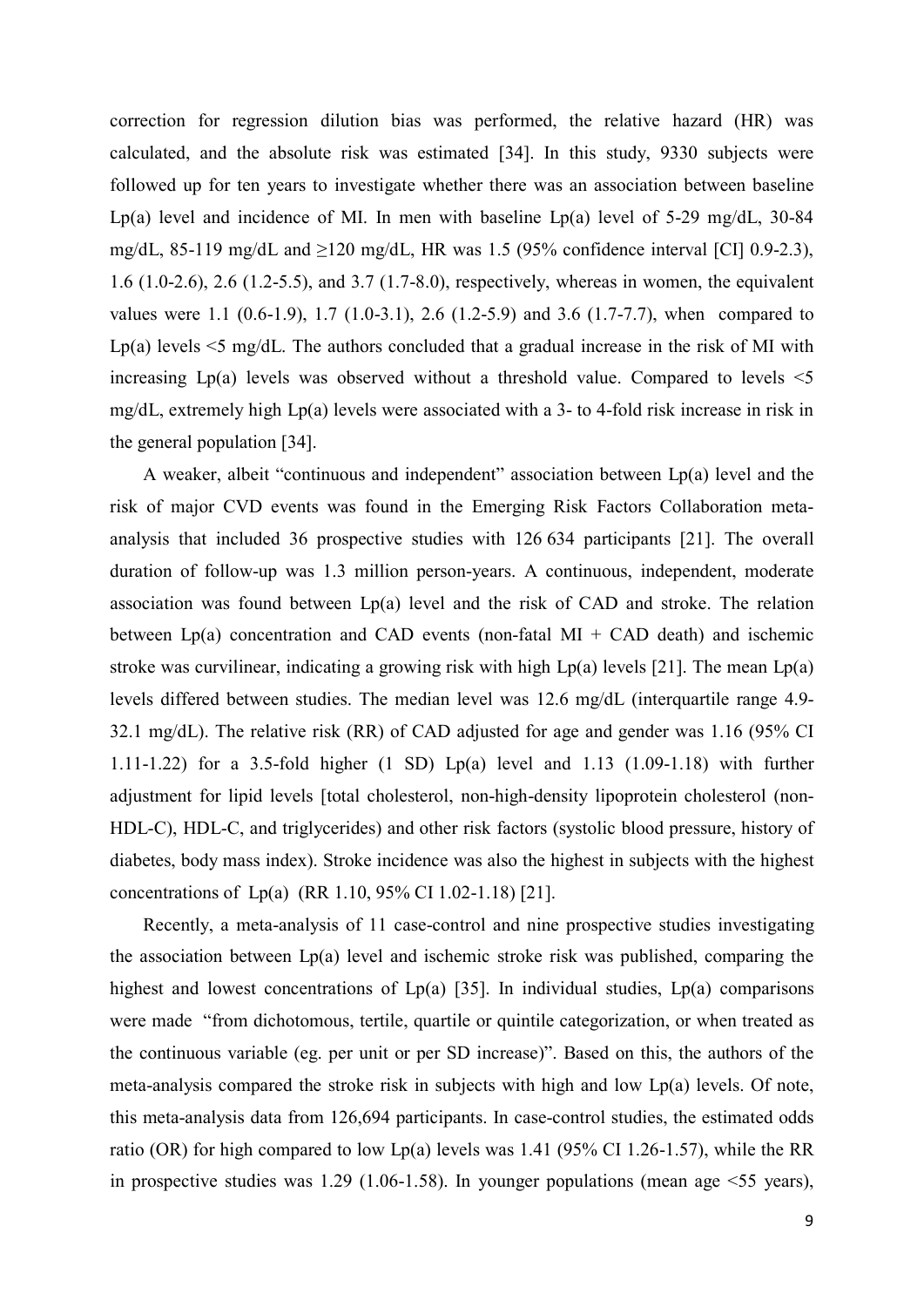correction for regression dilution bias was performed, the relative hazard (HR) was calculated, and the absolute risk was estimated [34]. In this study, 9330 subjects were followed up for ten years to investigate whether there was an association between baseline Lp(a) level and incidence of MI. In men with baseline Lp(a) level of  $5-29 \text{ mg/dL}$ ,  $30-84$ mg/dL, 85-119 mg/dL and  $\geq$ 120 mg/dL, HR was 1.5 (95% confidence interval [CI] 0.9-2.3), 1.6 (1.0-2.6), 2.6 (1.2-5.5), and 3.7 (1.7-8.0), respectively, whereas in women, the equivalent values were 1.1 (0.6-1.9), 1.7 (1.0-3.1), 2.6 (1.2-5.9) and 3.6 (1.7-7.7), when compared to Lp(a) levels  $\leq$  mg/dL. The authors concluded that a gradual increase in the risk of MI with increasing  $Lp(a)$  levels was observed without a threshold value. Compared to levels  $\leq 5$ mg/dL, extremely high Lp(a) levels were associated with a 3- to 4-fold risk increase in risk in the general population [34].

A weaker, albeit "continuous and independent" association between Lp(a) level and the risk of major CVD events was found in the Emerging Risk Factors Collaboration metaanalysis that included 36 prospective studies with 126 634 participants [21]. The overall duration of follow-up was 1.3 million person-years. A continuous, independent, moderate association was found between  $Lp(a)$  level and the risk of CAD and stroke. The relation between Lp(a) concentration and CAD events (non-fatal MI + CAD death) and ischemic stroke was curvilinear, indicating a growing risk with high  $Lp(a)$  levels [21]. The mean  $Lp(a)$ levels differed between studies. The median level was 12.6 mg/dL (interquartile range 4.9- 32.1 mg/dL). The relative risk (RR) of CAD adjusted for age and gender was 1.16 (95% CI 1.11-1.22) for a 3.5-fold higher (1 SD) Lp(a) level and 1.13 (1.09-1.18) with further adjustment for lipid levels [total cholesterol, non-high-density lipoprotein cholesterol (non-HDL-C), HDL-C, and triglycerides) and other risk factors (systolic blood pressure, history of diabetes, body mass index). Stroke incidence was also the highest in subjects with the highest concentrations of Lp(a) (RR 1.10, 95% CI 1.02-1.18) [21].

Recently, a meta-analysis of 11 case-control and nine prospective studies investigating the association between Lp(a) level and ischemic stroke risk was published, comparing the highest and lowest concentrations of Lp(a) [35]. In individual studies, Lp(a) comparisons were made "from dichotomous, tertile, quartile or quintile categorization, or when treated as the continuous variable (eg. per unit or per SD increase)". Based on this, the authors of the meta-analysis compared the stroke risk in subjects with high and low Lp(a) levels. Of note, this meta-analysis data from 126,694 participants. In case-control studies, the estimated odds ratio (OR) for high compared to low Lp(a) levels was 1.41 (95% CI 1.26-1.57), while the RR in prospective studies was 1.29 (1.06-1.58). In younger populations (mean age  $\leq 55$  years),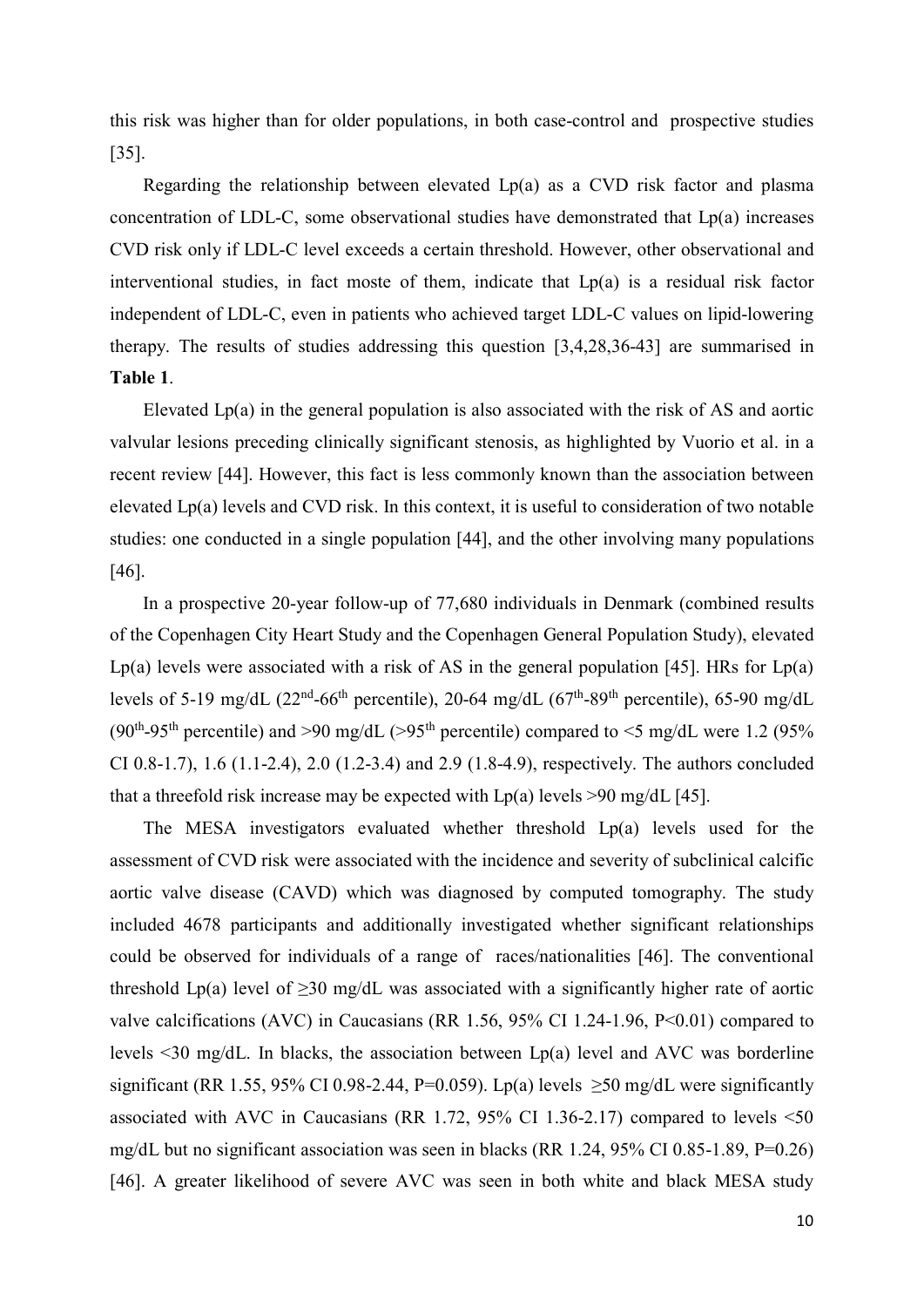this risk was higher than for older populations, in both case-control and prospective studies [35].

Regarding the relationship between elevated Lp(a) as a CVD risk factor and plasma concentration of LDL-C, some observational studies have demonstrated that Lp(a) increases CVD risk only if LDL-C level exceeds a certain threshold. However, other observational and interventional studies, in fact moste of them, indicate that Lp(a) is a residual risk factor independent of LDL-C, even in patients who achieved target LDL-C values on lipid-lowering therapy. The results of studies addressing this question [3,4,28,36-43] are summarised in **Table 1**.

Elevated Lp(a) in the general population is also associated with the risk of AS and aortic valvular lesions preceding clinically significant stenosis, as highlighted by Vuorio et al. in a recent review [44]. However, this fact is less commonly known than the association between elevated Lp(a) levels and CVD risk. In this context, it is useful to consideration of two notable studies: one conducted in a single population [44], and the other involving many populations [46].

In a prospective 20-year follow-up of 77,680 individuals in Denmark (combined results of the Copenhagen City Heart Study and the Copenhagen General Population Study), elevated Lp(a) levels were associated with a risk of AS in the general population [45]. HRs for  $Lp(a)$ levels of 5-19 mg/dL ( $22<sup>nd</sup>$ -66<sup>th</sup> percentile), 20-64 mg/dL ( $67<sup>th</sup>$ -89<sup>th</sup> percentile), 65-90 mg/dL (90<sup>th</sup>-95<sup>th</sup> percentile) and >90 mg/dL (>95<sup>th</sup> percentile) compared to <5 mg/dL were 1.2 (95%) CI 0.8-1.7), 1.6 (1.1-2.4), 2.0 (1.2-3.4) and 2.9 (1.8-4.9), respectively. The authors concluded that a threefold risk increase may be expected with  $Lp(a)$  levels >90 mg/dL [45].

The MESA investigators evaluated whether threshold Lp(a) levels used for the assessment of CVD risk were associated with the incidence and severity of subclinical calcific aortic valve disease (CAVD) which was diagnosed by computed tomography. The study included 4678 participants and additionally investigated whether significant relationships could be observed for individuals of a range of races/nationalities [46]. The conventional threshold Lp(a) level of  $\geq$ 30 mg/dL was associated with a significantly higher rate of aortic valve calcifications (AVC) in Caucasians (RR 1.56, 95% CI 1.24-1.96, P<0.01) compared to levels  $\leq$ 30 mg/dL. In blacks, the association between Lp(a) level and AVC was borderline significant (RR 1.55, 95% CI 0.98-2.44, P=0.059). Lp(a) levels  $\geq$ 50 mg/dL were significantly associated with AVC in Caucasians (RR 1.72, 95% CI 1.36-2.17) compared to levels <50 mg/dL but no significant association was seen in blacks (RR 1.24, 95% CI 0.85-1.89, P=0.26) [46]. A greater likelihood of severe AVC was seen in both white and black MESA study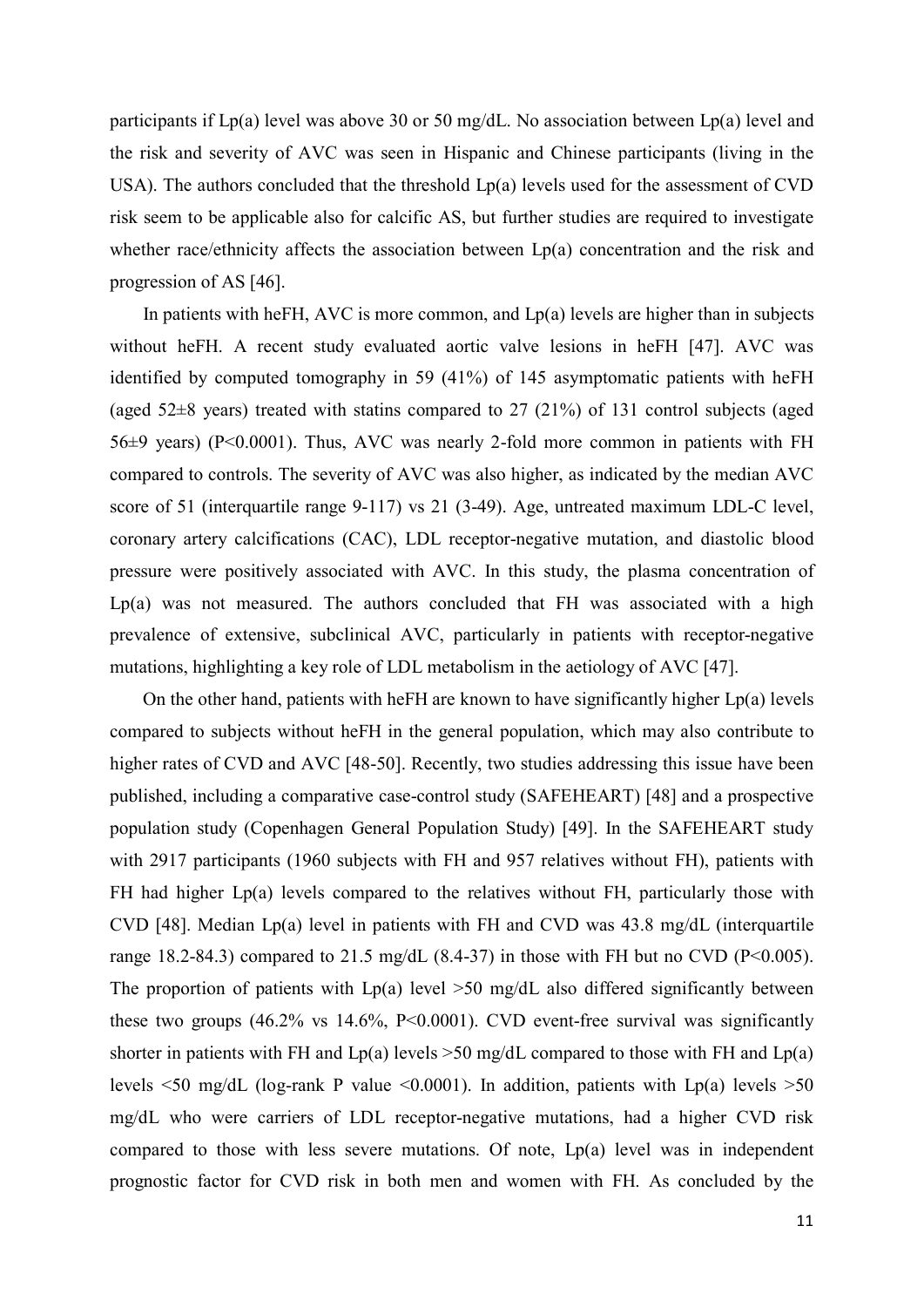participants if Lp(a) level was above 30 or 50 mg/dL. No association between Lp(a) level and the risk and severity of AVC was seen in Hispanic and Chinese participants (living in the USA). The authors concluded that the threshold Lp(a) levels used for the assessment of CVD risk seem to be applicable also for calcific AS, but further studies are required to investigate whether race/ethnicity affects the association between Lp(a) concentration and the risk and progression of AS [46].

In patients with heFH, AVC is more common, and  $Lp(a)$  levels are higher than in subjects without heFH. A recent study evaluated aortic valve lesions in heFH [47]. AVC was identified by computed tomography in 59 (41%) of 145 asymptomatic patients with heFH (aged 52±8 years) treated with statins compared to 27 (21%) of 131 control subjects (aged 56±9 years) (P<0.0001). Thus, AVC was nearly 2-fold more common in patients with FH compared to controls. The severity of AVC was also higher, as indicated by the median AVC score of 51 (interquartile range 9-117) vs 21 (3-49). Age, untreated maximum LDL-C level, coronary artery calcifications (CAC), LDL receptor-negative mutation, and diastolic blood pressure were positively associated with AVC. In this study, the plasma concentration of  $Lp(a)$  was not measured. The authors concluded that FH was associated with a high prevalence of extensive, subclinical AVC, particularly in patients with receptor-negative mutations, highlighting a key role of LDL metabolism in the aetiology of AVC [47].

On the other hand, patients with heFH are known to have significantly higher  $Lp(a)$  levels compared to subjects without heFH in the general population, which may also contribute to higher rates of CVD and AVC [48-50]. Recently, two studies addressing this issue have been published, including a comparative case-control study (SAFEHEART) [48] and a prospective population study (Copenhagen General Population Study) [49]. In the SAFEHEART study with 2917 participants (1960 subjects with FH and 957 relatives without FH), patients with FH had higher Lp(a) levels compared to the relatives without FH, particularly those with CVD [48]. Median Lp(a) level in patients with FH and CVD was 43.8 mg/dL (interquartile range 18.2-84.3) compared to 21.5 mg/dL (8.4-37) in those with FH but no CVD (P<0.005). The proportion of patients with  $Lp(a)$  level  $>50$  mg/dL also differed significantly between these two groups  $(46.2\% \text{ vs } 14.6\%, \text{ P} < 0.0001)$ . CVD event-free survival was significantly shorter in patients with FH and  $Lp(a)$  levels  $>50$  mg/dL compared to those with FH and  $Lp(a)$ levels  $\leq 50$  mg/dL (log-rank P value  $\leq 0.0001$ ). In addition, patients with Lp(a) levels  $\geq 50$ mg/dL who were carriers of LDL receptor-negative mutations, had a higher CVD risk compared to those with less severe mutations. Of note, Lp(a) level was in independent prognostic factor for CVD risk in both men and women with FH. As concluded by the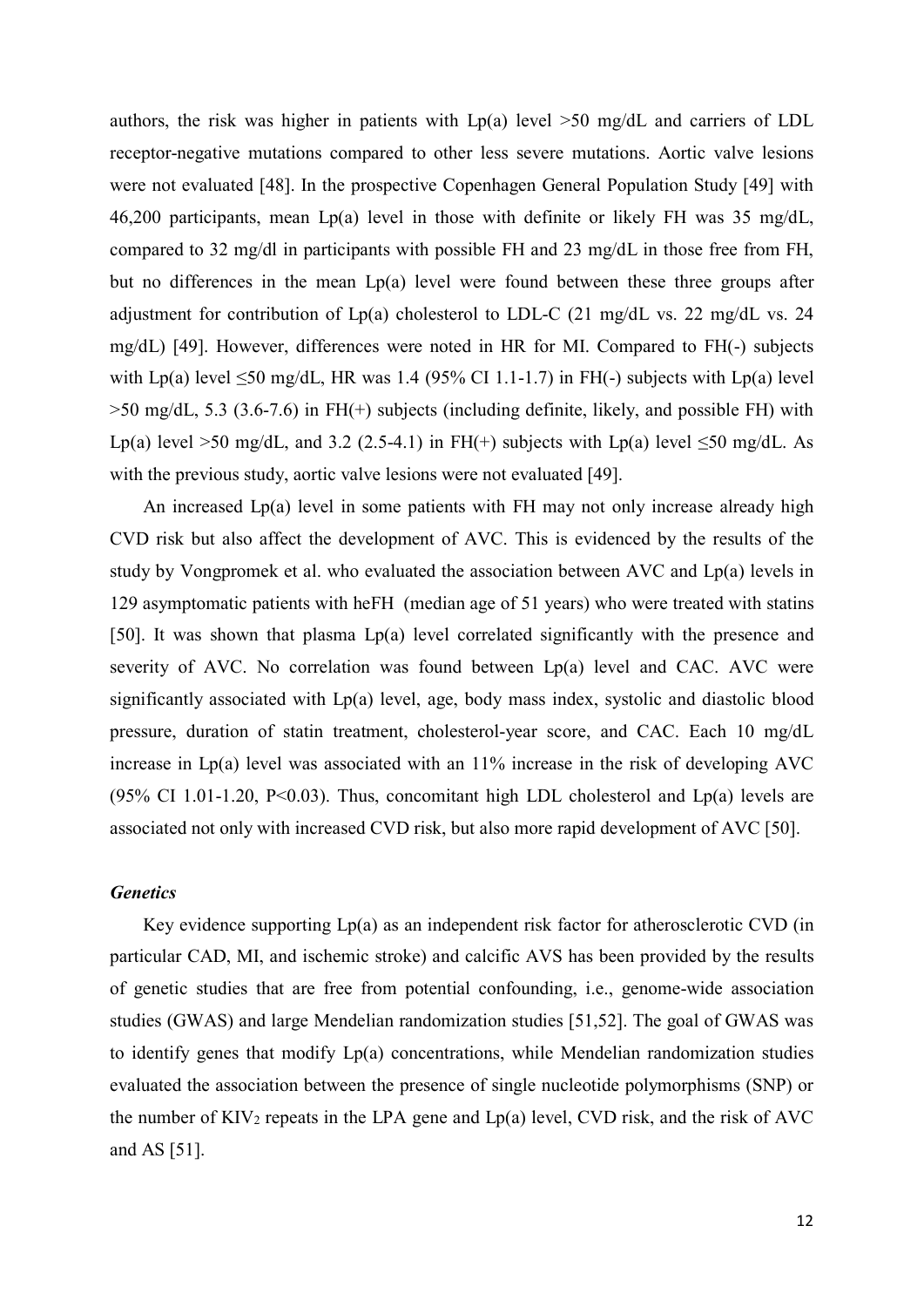authors, the risk was higher in patients with  $Lp(a)$  level  $>50$  mg/dL and carriers of LDL receptor-negative mutations compared to other less severe mutations. Aortic valve lesions were not evaluated [48]. In the prospective Copenhagen General Population Study [49] with 46,200 participants, mean Lp(a) level in those with definite or likely FH was 35 mg/dL, compared to 32 mg/dl in participants with possible FH and 23 mg/dL in those free from FH, but no differences in the mean Lp(a) level were found between these three groups after adjustment for contribution of Lp(a) cholesterol to LDL-C (21 mg/dL vs. 22 mg/dL vs. 24 mg/dL) [49]. However, differences were noted in HR for MI. Compared to FH(-) subjects with Lp(a) level  $\leq 50$  mg/dL, HR was 1.4 (95% CI 1.1-1.7) in FH(-) subjects with Lp(a) level >50 mg/dL, 5.3 (3.6-7.6) in FH(+) subjects (including definite, likely, and possible FH) with Lp(a) level >50 mg/dL, and 3.2 (2.5-4.1) in FH(+) subjects with Lp(a) level  $\leq$ 50 mg/dL. As with the previous study, aortic valve lesions were not evaluated [49].

An increased Lp(a) level in some patients with FH may not only increase already high CVD risk but also affect the development of AVC. This is evidenced by the results of the study by Vongpromek et al. who evaluated the association between AVC and Lp(a) levels in 129 asymptomatic patients with heFH (median age of 51 years) who were treated with statins [50]. It was shown that plasma Lp(a) level correlated significantly with the presence and severity of AVC. No correlation was found between Lp(a) level and CAC. AVC were significantly associated with Lp(a) level, age, body mass index, systolic and diastolic blood pressure, duration of statin treatment, cholesterol-year score, and CAC. Each 10 mg/dL increase in  $Lp(a)$  level was associated with an  $11\%$  increase in the risk of developing AVC (95% CI 1.01-1.20, P<0.03). Thus, concomitant high LDL cholesterol and  $Lp(a)$  levels are associated not only with increased CVD risk, but also more rapid development of AVC [50].

#### *Genetics*

Key evidence supporting  $Lp(a)$  as an independent risk factor for atherosclerotic CVD (in particular CAD, MI, and ischemic stroke) and calcific AVS has been provided by the results of genetic studies that are free from potential confounding, i.e., genome-wide association studies (GWAS) and large Mendelian randomization studies [51,52]. The goal of GWAS was to identify genes that modify Lp(a) concentrations, while Mendelian randomization studies evaluated the association between the presence of single nucleotide polymorphisms (SNP) or the number of  $KIV_2$  repeats in the LPA gene and  $Lp(a)$  level, CVD risk, and the risk of AVC and AS [51].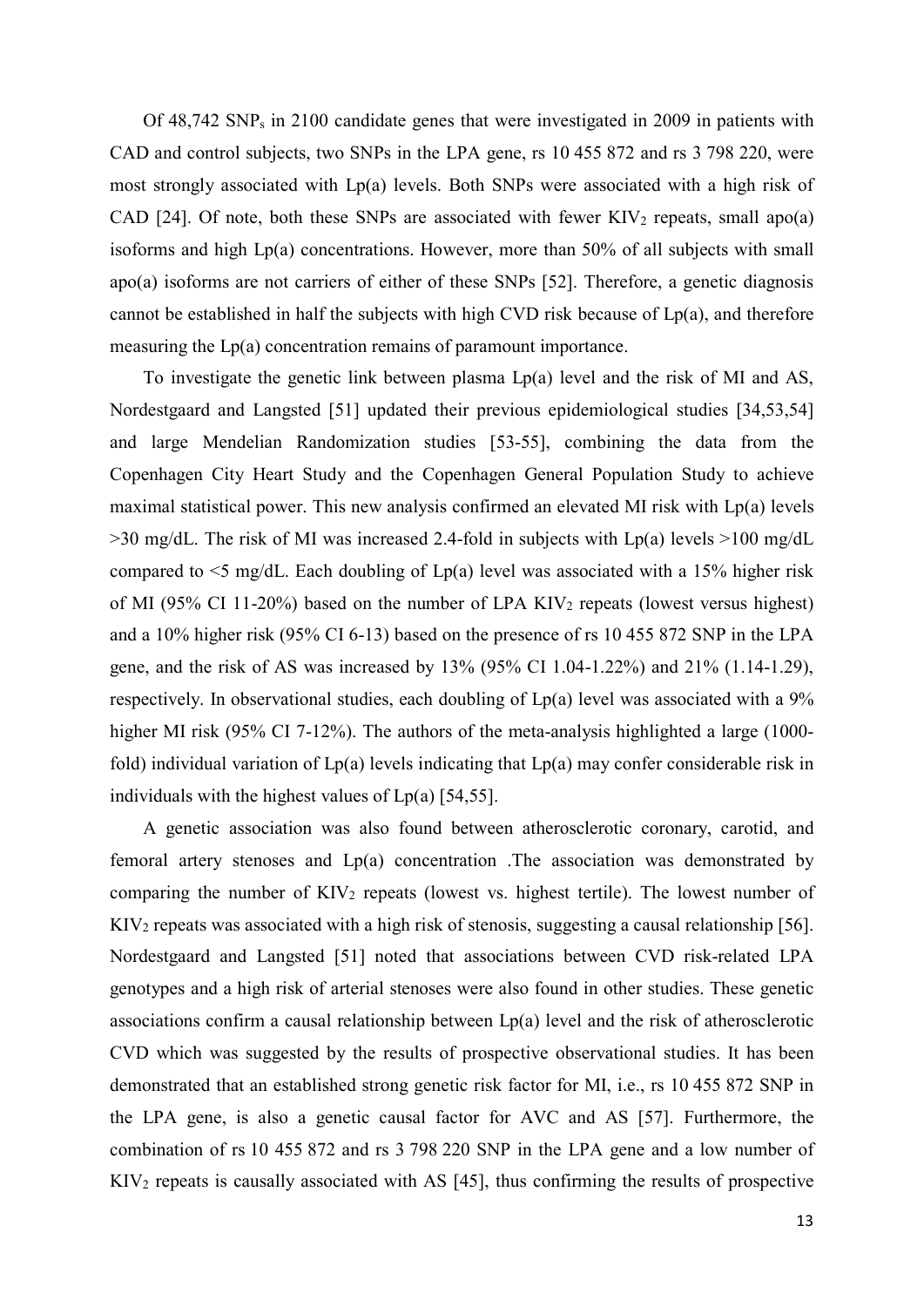Of 48,742 SNP<sup>s</sup> in 2100 candidate genes that were investigated in 2009 in patients with CAD and control subjects, two SNPs in the LPA gene, rs 10 455 872 and rs 3 798 220, were most strongly associated with Lp(a) levels. Both SNPs were associated with a high risk of CAD [24]. Of note, both these SNPs are associated with fewer  $KIV<sub>2</sub>$  repeats, small apo(a) isoforms and high Lp(a) concentrations. However, more than 50% of all subjects with small apo(a) isoforms are not carriers of either of these SNPs [52]. Therefore, a genetic diagnosis cannot be established in half the subjects with high CVD risk because of Lp(a), and therefore measuring the Lp(a) concentration remains of paramount importance.

To investigate the genetic link between plasma Lp(a) level and the risk of MI and AS, Nordestgaard and Langsted [51] updated their previous epidemiological studies [34,53,54] and large Mendelian Randomization studies [53-55], combining the data from the Copenhagen City Heart Study and the Copenhagen General Population Study to achieve maximal statistical power. This new analysis confirmed an elevated MI risk with Lp(a) levels  $>30$  mg/dL. The risk of MI was increased 2.4-fold in subjects with Lp(a) levels  $>100$  mg/dL compared to  $\leq$ 5 mg/dL. Each doubling of Lp(a) level was associated with a 15% higher risk of MI (95% CI 11-20%) based on the number of LPA  $KIV<sub>2</sub>$  repeats (lowest versus highest) and a 10% higher risk (95% CI 6-13) based on the presence of rs 10 455 872 SNP in the LPA gene, and the risk of AS was increased by 13% (95% CI 1.04-1.22%) and 21% (1.14-1.29), respectively. In observational studies, each doubling of Lp(a) level was associated with a 9% higher MI risk (95% CI 7-12%). The authors of the meta-analysis highlighted a large (1000fold) individual variation of  $Lp(a)$  levels indicating that  $Lp(a)$  may confer considerable risk in individuals with the highest values of  $Lp(a)$  [54,55].

A genetic association was also found between atherosclerotic coronary, carotid, and femoral artery stenoses and Lp(a) concentration .The association was demonstrated by comparing the number of  $KIV<sub>2</sub>$  repeats (lowest vs. highest tertile). The lowest number of KIV<sup>2</sup> repeats was associated with a high risk of stenosis, suggesting a causal relationship [56]. Nordestgaard and Langsted [51] noted that associations between CVD risk-related LPA genotypes and a high risk of arterial stenoses were also found in other studies. These genetic associations confirm a causal relationship between  $Lp(a)$  level and the risk of atherosclerotic CVD which was suggested by the results of prospective observational studies. It has been demonstrated that an established strong genetic risk factor for MI, i.e., rs 10 455 872 SNP in the LPA gene, is also a genetic causal factor for AVC and AS [57]. Furthermore, the combination of rs 10 455 872 and rs 3 798 220 SNP in the LPA gene and a low number of KIV<sup>2</sup> repeats is causally associated with AS [45], thus confirming the results of prospective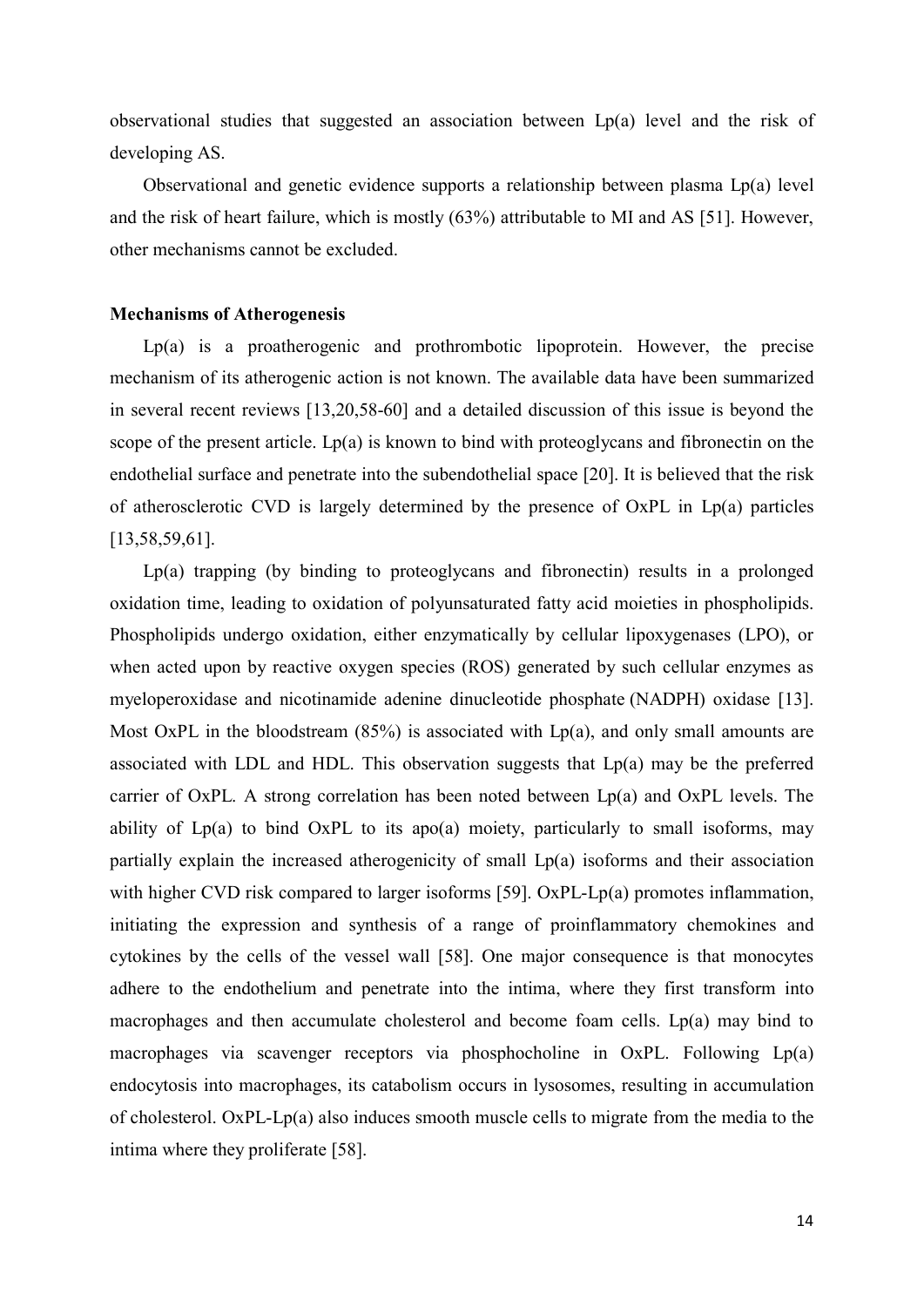observational studies that suggested an association between Lp(a) level and the risk of developing AS.

Observational and genetic evidence supports a relationship between plasma Lp(a) level and the risk of heart failure, which is mostly (63%) attributable to MI and AS [51]. However, other mechanisms cannot be excluded.

#### **Mechanisms of Atherogenesis**

Lp(a) is a proatherogenic and prothrombotic lipoprotein. However, the precise mechanism of its atherogenic action is not known. The available data have been summarized in several recent reviews [13,20,58-60] and a detailed discussion of this issue is beyond the scope of the present article.  $Lp(a)$  is known to bind with proteoglycans and fibronectin on the endothelial surface and penetrate into the subendothelial space [20]. It is believed that the risk of atherosclerotic CVD is largely determined by the presence of OxPL in Lp(a) particles [13,58,59,61].

Lp(a) trapping (by binding to proteoglycans and fibronectin) results in a prolonged oxidation time, leading to oxidation of polyunsaturated fatty acid moieties in phospholipids. Phospholipids undergo oxidation, either enzymatically by cellular lipoxygenases (LPO), or when acted upon by reactive oxygen species (ROS) generated by such cellular enzymes as myeloperoxidase and nicotinamide adenine dinucleotide phosphate (NADPH) oxidase [13]. Most OxPL in the bloodstream  $(85%)$  is associated with Lp(a), and only small amounts are associated with LDL and HDL. This observation suggests that Lp(a) may be the preferred carrier of OxPL. A strong correlation has been noted between  $Lp(a)$  and OxPL levels. The ability of  $Lp(a)$  to bind  $OxPL$  to its apo(a) moiety, particularly to small isoforms, may partially explain the increased atherogenicity of small Lp(a) isoforms and their association with higher CVD risk compared to larger isoforms [59]. OxPL-Lp(a) promotes inflammation, initiating the expression and synthesis of a range of proinflammatory chemokines and cytokines by the cells of the vessel wall [58]. One major consequence is that monocytes adhere to the endothelium and penetrate into the intima, where they first transform into macrophages and then accumulate cholesterol and become foam cells. Lp(a) may bind to macrophages via scavenger receptors via phosphocholine in OxPL. Following Lp(a) endocytosis into macrophages, its catabolism occurs in lysosomes, resulting in accumulation of cholesterol. OxPL-Lp(a) also induces smooth muscle cells to migrate from the media to the intima where they proliferate [58].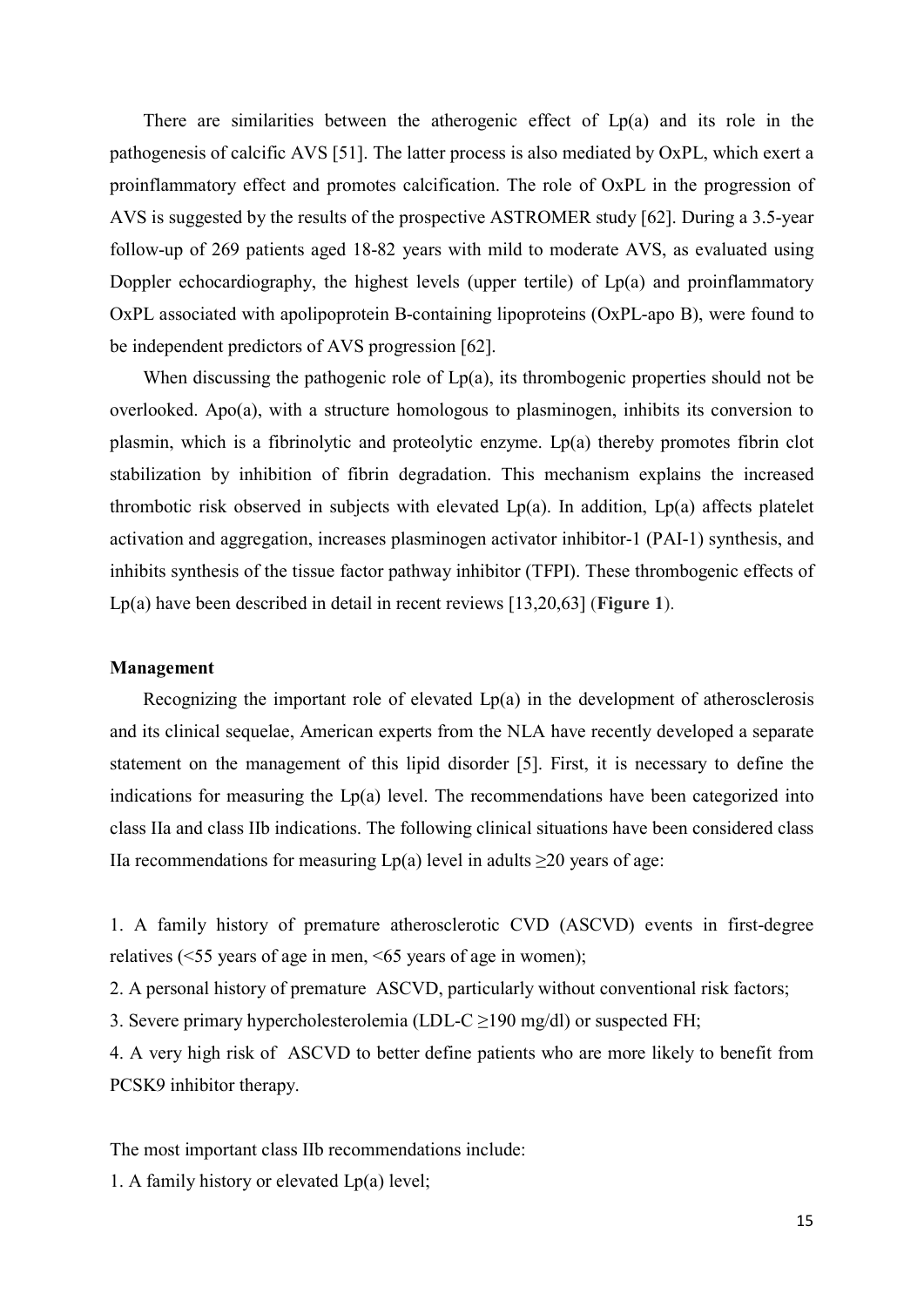There are similarities between the atherogenic effect of Lp(a) and its role in the pathogenesis of calcific AVS [51]. The latter process is also mediated by OxPL, which exert a proinflammatory effect and promotes calcification. The role of OxPL in the progression of AVS is suggested by the results of the prospective ASTROMER study [62]. During a 3.5-year follow-up of 269 patients aged 18-82 years with mild to moderate AVS, as evaluated using Doppler echocardiography, the highest levels (upper tertile) of  $Lp(a)$  and proinflammatory OxPL associated with apolipoprotein B-containing lipoproteins (OxPL-apo B), were found to be independent predictors of AVS progression [62].

When discussing the pathogenic role of  $Lp(a)$ , its thrombogenic properties should not be overlooked. Apo(a), with a structure homologous to plasminogen, inhibits its conversion to plasmin, which is a fibrinolytic and proteolytic enzyme. Lp(a) thereby promotes fibrin clot stabilization by inhibition of fibrin degradation. This mechanism explains the increased thrombotic risk observed in subjects with elevated  $Lp(a)$ . In addition,  $Lp(a)$  affects platelet activation and aggregation, increases plasminogen activator inhibitor-1 (PAI-1) synthesis, and inhibits synthesis of the tissue factor pathway inhibitor (TFPI). These thrombogenic effects of Lp(a) have been described in detail in recent reviews [13,20,63] (**Figure 1**).

#### **Management**

Recognizing the important role of elevated Lp(a) in the development of atherosclerosis and its clinical sequelae, American experts from the NLA have recently developed a separate statement on the management of this lipid disorder [5]. First, it is necessary to define the indications for measuring the  $Lp(a)$  level. The recommendations have been categorized into class IIa and class IIb indications. The following clinical situations have been considered class IIa recommendations for measuring  $Lp(a)$  level in adults  $\geq 20$  years of age:

1. A family history of premature atherosclerotic CVD (ASCVD) events in first-degree relatives (<55 years of age in men, <65 years of age in women);

2. A personal history of premature ASCVD, particularly without conventional risk factors;

3. Severe primary hypercholesterolemia (LDL-C  $\geq$ 190 mg/dl) or suspected FH;

4. A very high risk of ASCVD to better define patients who are more likely to benefit from PCSK9 inhibitor therapy.

The most important class IIb recommendations include:

1. A family history or elevated Lp(a) level;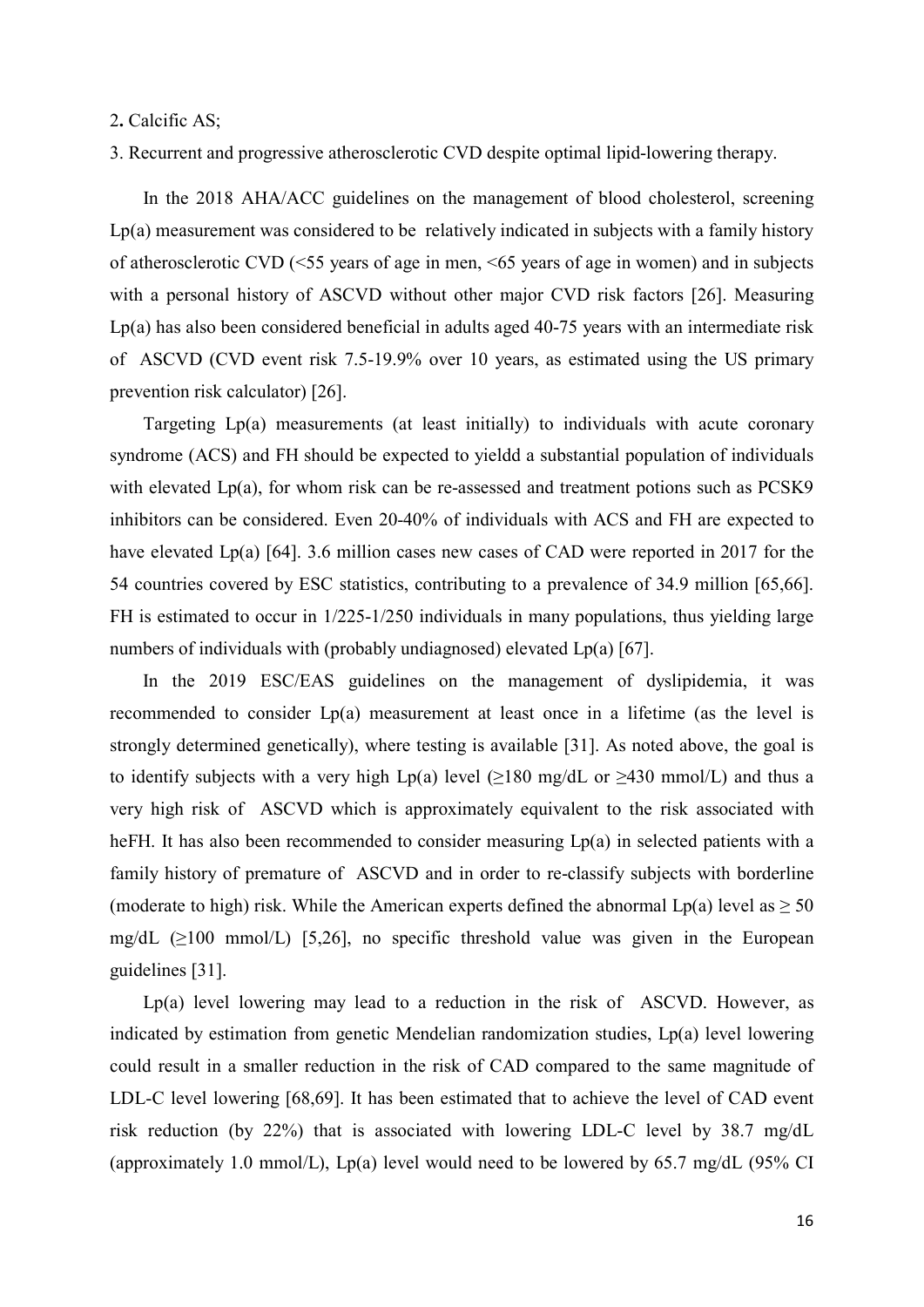2**.** Calcific AS;

3. Recurrent and progressive atherosclerotic CVD despite optimal lipid-lowering therapy.

In the 2018 AHA/ACC guidelines on the management of blood cholesterol, screening Lp(a) measurement was considered to be relatively indicated in subjects with a family history of atherosclerotic CVD (<55 years of age in men, <65 years of age in women) and in subjects with a personal history of ASCVD without other major CVD risk factors [26]. Measuring Lp(a) has also been considered beneficial in adults aged 40-75 years with an intermediate risk of ASCVD (CVD event risk 7.5-19.9% over 10 years, as estimated using the US primary prevention risk calculator) [26].

Targeting Lp(a) measurements (at least initially) to individuals with acute coronary syndrome (ACS) and FH should be expected to yieldd a substantial population of individuals with elevated Lp(a), for whom risk can be re-assessed and treatment potions such as PCSK9 inhibitors can be considered. Even 20-40% of individuals with ACS and FH are expected to have elevated Lp(a) [64]. 3.6 million cases new cases of CAD were reported in 2017 for the 54 countries covered by ESC statistics, contributing to a prevalence of 34.9 million [65,66]. FH is estimated to occur in 1/225-1/250 individuals in many populations, thus yielding large numbers of individuals with (probably undiagnosed) elevated Lp(a) [67].

In the 2019 ESC/EAS guidelines on the management of dyslipidemia, it was recommended to consider Lp(a) measurement at least once in a lifetime (as the level is strongly determined genetically), where testing is available [31]. As noted above, the goal is to identify subjects with a very high Lp(a) level ( $\geq$ 180 mg/dL or  $\geq$ 430 mmol/L) and thus a very high risk of ASCVD which is approximately equivalent to the risk associated with heFH. It has also been recommended to consider measuring Lp(a) in selected patients with a family history of premature of ASCVD and in order to re-classify subjects with borderline (moderate to high) risk. While the American experts defined the abnormal Lp(a) level as  $\geq 50$ mg/dL  $(\geq 100 \text{ mmol/L})$  [5,26], no specific threshold value was given in the European guidelines [31].

Lp(a) level lowering may lead to a reduction in the risk of ASCVD. However, as indicated by estimation from genetic Mendelian randomization studies, Lp(a) level lowering could result in a smaller reduction in the risk of CAD compared to the same magnitude of LDL-C level lowering [68,69]. It has been estimated that to achieve the level of CAD event risk reduction (by 22%) that is associated with lowering LDL-C level by 38.7 mg/dL (approximately 1.0 mmol/L), Lp(a) level would need to be lowered by 65.7 mg/dL (95% CI)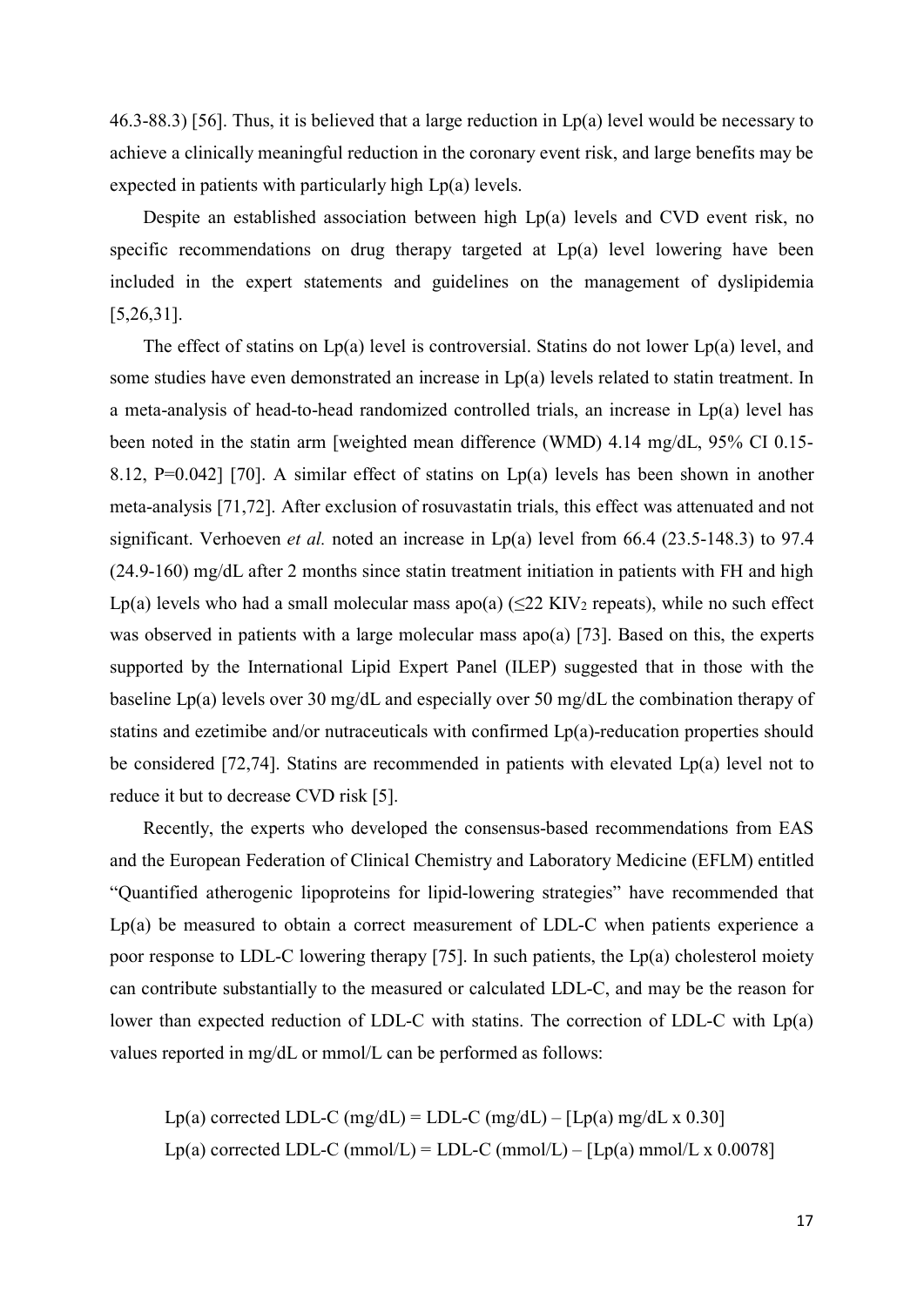46.3-88.3) [56]. Thus, it is believed that a large reduction in  $Lp(a)$  level would be necessary to achieve a clinically meaningful reduction in the coronary event risk, and large benefits may be expected in patients with particularly high Lp(a) levels.

Despite an established association between high Lp(a) levels and CVD event risk, no specific recommendations on drug therapy targeted at Lp(a) level lowering have been included in the expert statements and guidelines on the management of dyslipidemia [5,26,31].

The effect of statins on Lp(a) level is controversial. Statins do not lower Lp(a) level, and some studies have even demonstrated an increase in Lp(a) levels related to statin treatment. In a meta-analysis of head-to-head randomized controlled trials, an increase in Lp(a) level has been noted in the statin arm [weighted mean difference (WMD) 4.14 mg/dL, 95% CI 0.15- 8.12, P=0.042] [70]. A similar effect of statins on Lp(a) levels has been shown in another meta-analysis [71,72]. After exclusion of rosuvastatin trials, this effect was attenuated and not significant. Verhoeven *et al.* noted an increase in Lp(a) level from 66.4 (23.5-148.3) to 97.4 (24.9-160) mg/dL after 2 months since statin treatment initiation in patients with FH and high Lp(a) levels who had a small molecular mass apo(a) ( $\leq$ 22 KIV<sub>2</sub> repeats), while no such effect was observed in patients with a large molecular mass apo(a) [73]. Based on this, the experts supported by the International Lipid Expert Panel (ILEP) suggested that in those with the baseline Lp(a) levels over 30 mg/dL and especially over 50 mg/dL the combination therapy of statins and ezetimibe and/or nutraceuticals with confirmed Lp(a)-reducation properties should be considered [72,74]. Statins are recommended in patients with elevated Lp(a) level not to reduce it but to decrease CVD risk [5].

Recently, the experts who developed the consensus-based recommendations from EAS and the European Federation of Clinical Chemistry and Laboratory Medicine (EFLM) entitled "Quantified atherogenic lipoproteins for lipid-lowering strategies" have recommended that Lp(a) be measured to obtain a correct measurement of LDL-C when patients experience a poor response to LDL-C lowering therapy [75]. In such patients, the Lp(a) cholesterol moiety can contribute substantially to the measured or calculated LDL-C, and may be the reason for lower than expected reduction of LDL-C with statins. The correction of LDL-C with Lp(a) values reported in mg/dL or mmol/L can be performed as follows:

Lp(a) corrected LDL-C (mg/dL) = LDL-C (mg/dL) – [Lp(a) mg/dL x 0.30] Lp(a) corrected LDL-C (mmol/L) = LDL-C (mmol/L) – [Lp(a) mmol/L x 0.0078]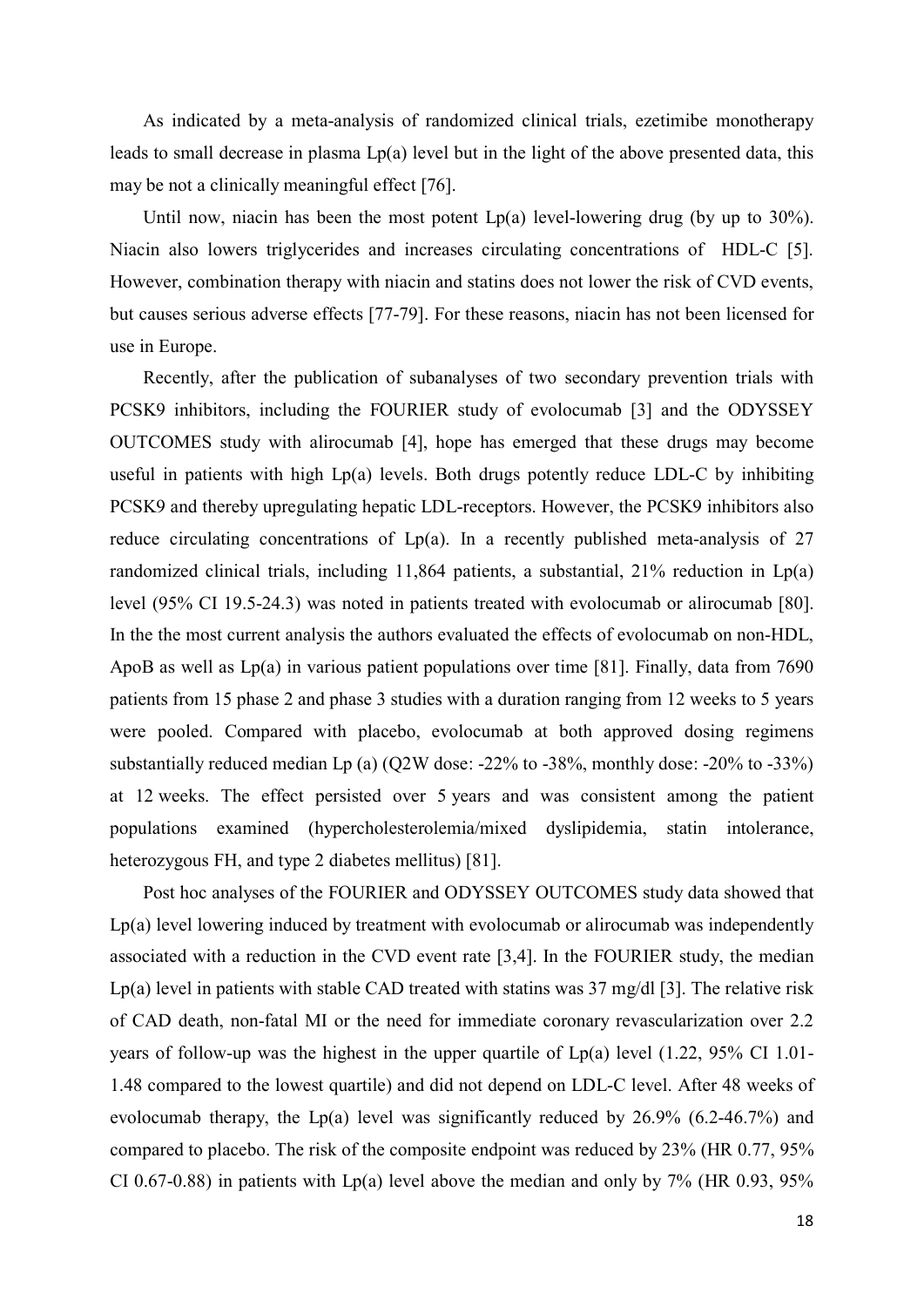As indicated by a meta-analysis of randomized clinical trials, ezetimibe monotherapy leads to small decrease in plasma Lp(a) level but in the light of the above presented data, this may be not a clinically meaningful effect [76].

Until now, niacin has been the most potent Lp(a) level-lowering drug (by up to 30%). Niacin also lowers triglycerides and increases circulating concentrations of HDL-C [5]. However, combination therapy with niacin and statins does not lower the risk of CVD events, but causes serious adverse effects [77-79]. For these reasons, niacin has not been licensed for use in Europe.

Recently, after the publication of subanalyses of two secondary prevention trials with PCSK9 inhibitors, including the FOURIER study of evolocumab [3] and the ODYSSEY OUTCOMES study with alirocumab [4], hope has emerged that these drugs may become useful in patients with high Lp(a) levels. Both drugs potently reduce LDL-C by inhibiting PCSK9 and thereby upregulating hepatic LDL-receptors. However, the PCSK9 inhibitors also reduce circulating concentrations of  $Lp(a)$ . In a recently published meta-analysis of 27 randomized clinical trials, including 11,864 patients, a substantial, 21% reduction in Lp(a) level (95% CI 19.5-24.3) was noted in patients treated with evolocumab or alirocumab [80]. In the the most current analysis the authors evaluated the effects of evolocumab on non-HDL, ApoB as well as Lp(a) in various patient populations over time [81]. Finally, data from 7690 patients from 15 phase 2 and phase 3 studies with a duration ranging from 12 weeks to 5 years were pooled. Compared with placebo, evolocumab at both approved dosing regimens substantially reduced median Lp (a) (Q2W dose: -22% to -38%, monthly dose: -20% to -33%) at 12 weeks. The effect persisted over 5 years and was consistent among the patient populations examined (hypercholesterolemia/mixed dyslipidemia, statin intolerance, heterozygous FH, and type 2 diabetes mellitus) [81].

Post hoc analyses of the FOURIER and ODYSSEY OUTCOMES study data showed that  $Lp(a)$  level lowering induced by treatment with evolocumab or alirocumab was independently associated with a reduction in the CVD event rate [3,4]. In the FOURIER study, the median Lp(a) level in patients with stable CAD treated with statins was  $37 \text{ mg/dl}$  [3]. The relative risk of CAD death, non-fatal MI or the need for immediate coronary revascularization over 2.2 years of follow-up was the highest in the upper quartile of Lp(a) level (1.22, 95% CI 1.01- 1.48 compared to the lowest quartile) and did not depend on LDL-C level. After 48 weeks of evolocumab therapy, the Lp(a) level was significantly reduced by 26.9% (6.2-46.7%) and compared to placebo. The risk of the composite endpoint was reduced by 23% (HR 0.77, 95% CI 0.67-0.88) in patients with Lp(a) level above the median and only by  $7\%$  (HR 0.93, 95%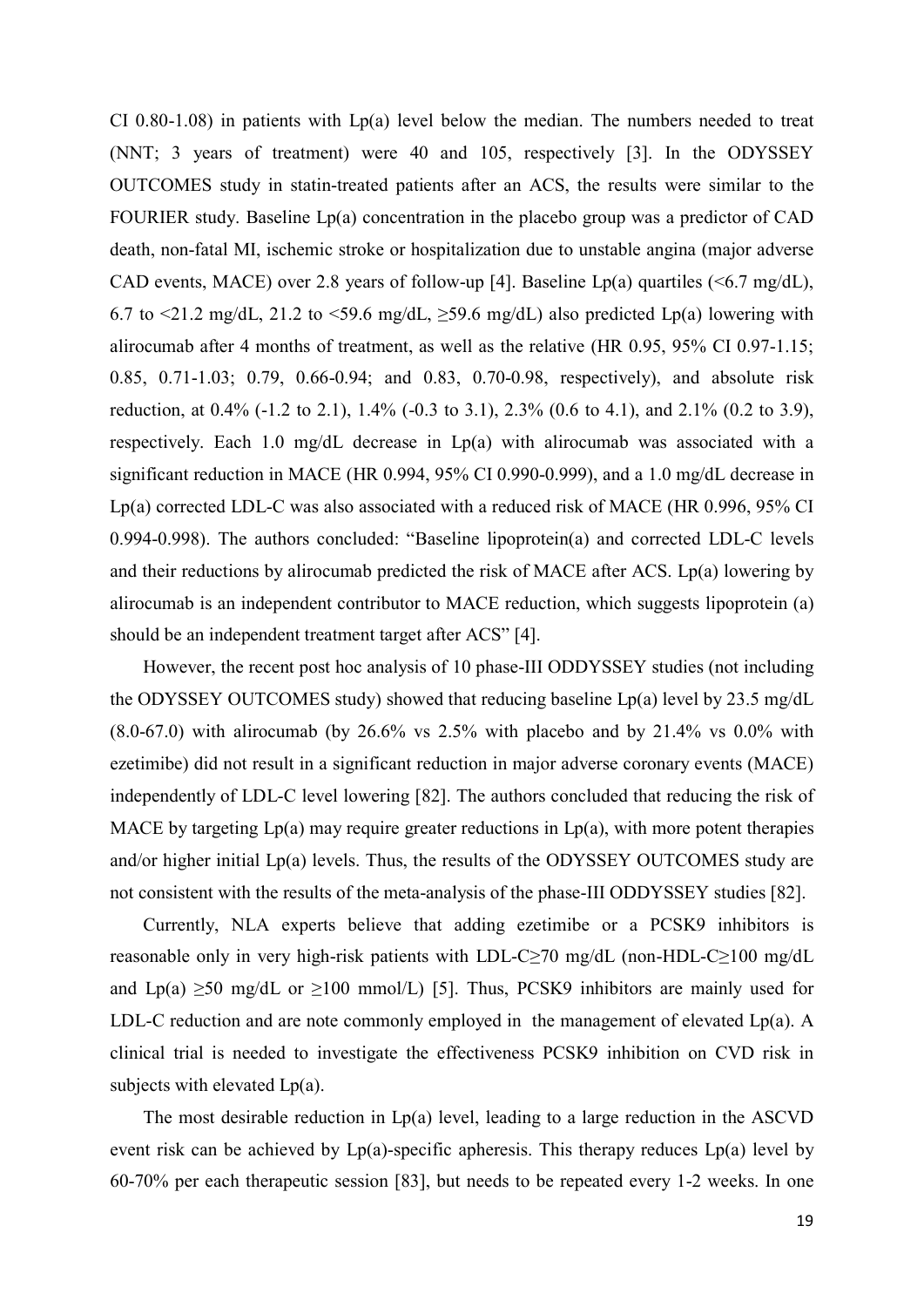CI 0.80-1.08) in patients with  $Lp(a)$  level below the median. The numbers needed to treat (NNT; 3 years of treatment) were 40 and 105, respectively [3]. In the ODYSSEY OUTCOMES study in statin-treated patients after an ACS, the results were similar to the FOURIER study. Baseline Lp(a) concentration in the placebo group was a predictor of CAD death, non-fatal MI, ischemic stroke or hospitalization due to unstable angina (major adverse CAD events, MACE) over 2.8 years of follow-up [4]. Baseline  $Lp(a)$  quartiles (<6.7 mg/dL), 6.7 to <21.2 mg/dL, 21.2 to <59.6 mg/dL,  $\geq$ 59.6 mg/dL) also predicted Lp(a) lowering with alirocumab after 4 months of treatment, as well as the relative (HR 0.95, 95% CI 0.97-1.15; 0.85, 0.71-1.03; 0.79, 0.66-0.94; and 0.83, 0.70-0.98, respectively), and absolute risk reduction, at 0.4% (-1.2 to 2.1), 1.4% (-0.3 to 3.1), 2.3% (0.6 to 4.1), and 2.1% (0.2 to 3.9), respectively. Each 1.0 mg/dL decrease in Lp(a) with alirocumab was associated with a significant reduction in MACE (HR 0.994, 95% CI 0.990-0.999), and a 1.0 mg/dL decrease in Lp(a) corrected LDL-C was also associated with a reduced risk of MACE (HR 0.996, 95% CI 0.994-0.998). The authors concluded: "Baseline lipoprotein(a) and corrected LDL-C levels and their reductions by alirocumab predicted the risk of MACE after ACS. Lp(a) lowering by alirocumab is an independent contributor to MACE reduction, which suggests lipoprotein (a) should be an independent treatment target after ACS" [4].

However, the recent post hoc analysis of 10 phase-III ODDYSSEY studies (not including the ODYSSEY OUTCOMES study) showed that reducing baseline Lp(a) level by 23.5 mg/dL (8.0-67.0) with alirocumab (by 26.6% vs 2.5% with placebo and by 21.4% vs 0.0% with ezetimibe) did not result in a significant reduction in major adverse coronary events (MACE) independently of LDL-C level lowering [82]. The authors concluded that reducing the risk of MACE by targeting  $Lp(a)$  may require greater reductions in  $Lp(a)$ , with more potent therapies and/or higher initial Lp(a) levels. Thus, the results of the ODYSSEY OUTCOMES study are not consistent with the results of the meta-analysis of the phase-III ODDYSSEY studies [82].

Currently, NLA experts believe that adding ezetimibe or a PCSK9 inhibitors is reasonable only in very high-risk patients with LDL-C≥70 mg/dL (non-HDL-C≥100 mg/dL and Lp(a)  $\geq 50$  mg/dL or  $\geq 100$  mmol/L) [5]. Thus, PCSK9 inhibitors are mainly used for LDL-C reduction and are note commonly employed in the management of elevated Lp(a). A clinical trial is needed to investigate the effectiveness PCSK9 inhibition on CVD risk in subjects with elevated Lp(a).

The most desirable reduction in  $Lp(a)$  level, leading to a large reduction in the ASCVD event risk can be achieved by Lp(a)-specific apheresis. This therapy reduces Lp(a) level by 60-70% per each therapeutic session [83], but needs to be repeated every 1-2 weeks. In one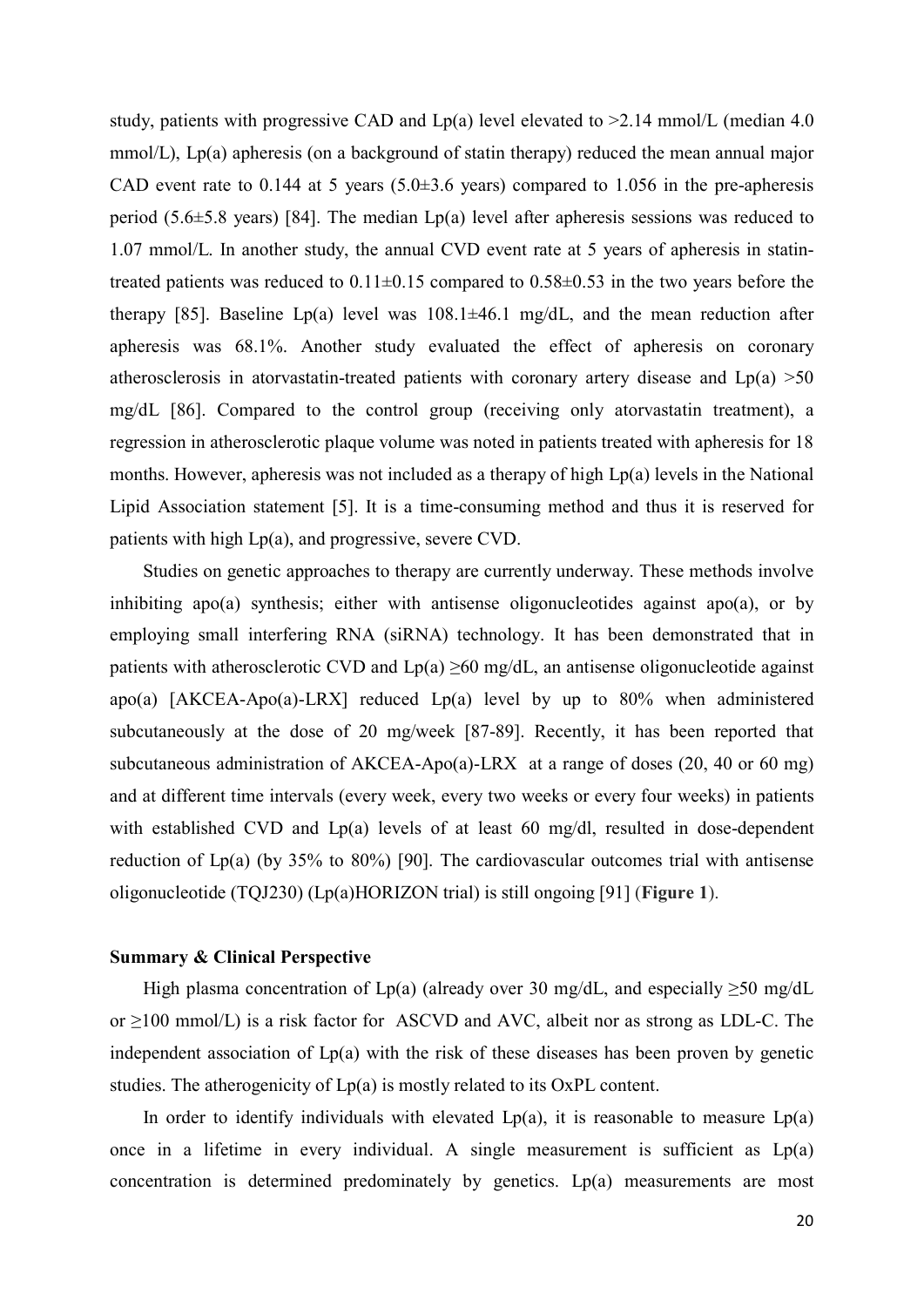study, patients with progressive CAD and  $Lp(a)$  level elevated to  $\geq 2.14$  mmol/L (median 4.0) mmol/L), Lp(a) apheresis (on a background of statin therapy) reduced the mean annual major CAD event rate to 0.144 at 5 years  $(5.0\pm3.6$  years) compared to 1.056 in the pre-apheresis period (5.6 $\pm$ 5.8 years) [84]. The median Lp(a) level after apheresis sessions was reduced to 1.07 mmol/L. In another study, the annual CVD event rate at 5 years of apheresis in statintreated patients was reduced to  $0.11 \pm 0.15$  compared to  $0.58 \pm 0.53$  in the two years before the therapy [85]. Baseline Lp(a) level was  $108.1 \pm 46.1$  mg/dL, and the mean reduction after apheresis was 68.1%. Another study evaluated the effect of apheresis on coronary atherosclerosis in atorvastatin-treated patients with coronary artery disease and  $Lp(a) >50$ mg/dL [86]. Compared to the control group (receiving only atorvastatin treatment), a regression in atherosclerotic plaque volume was noted in patients treated with apheresis for 18 months. However, apheresis was not included as a therapy of high Lp(a) levels in the National Lipid Association statement [5]. It is a time-consuming method and thus it is reserved for patients with high Lp(a), and progressive, severe CVD.

Studies on genetic approaches to therapy are currently underway. These methods involve inhibiting apo(a) synthesis; either with antisense oligonucleotides against apo(a), or by employing small interfering RNA (siRNA) technology. It has been demonstrated that in patients with atherosclerotic CVD and  $Lp(a) \ge 60$  mg/dL, an antisense oligonucleotide against apo(a)  $[AKCEA-Apo(a)-LRX]$  reduced  $Lp(a)$  level by up to 80% when administered subcutaneously at the dose of 20 mg/week [87-89]. Recently, it has been reported that subcutaneous administration of AKCEA-Apo(a)-LRX at a range of doses (20, 40 or 60 mg) and at different time intervals (every week, every two weeks or every four weeks) in patients with established CVD and Lp(a) levels of at least 60 mg/dl, resulted in dose-dependent reduction of Lp(a) (by 35% to 80%) [90]. The cardiovascular outcomes trial with antisense oligonucleotide (TQJ230) (Lp(a)HORIZON trial) is still ongoing [91] (**Figure 1**).

#### **Summary & Clinical Perspective**

High plasma concentration of Lp(a) (already over 30 mg/dL, and especially  $\geq 50$  mg/dL or ≥100 mmol/L) is a risk factor for ASCVD and AVC, albeit nor as strong as LDL-C. The independent association of Lp(a) with the risk of these diseases has been proven by genetic studies. The atherogenicity of Lp(a) is mostly related to its OxPL content.

In order to identify individuals with elevated  $Lp(a)$ , it is reasonable to measure  $Lp(a)$ once in a lifetime in every individual. A single measurement is sufficient as Lp(a) concentration is determined predominately by genetics. Lp(a) measurements are most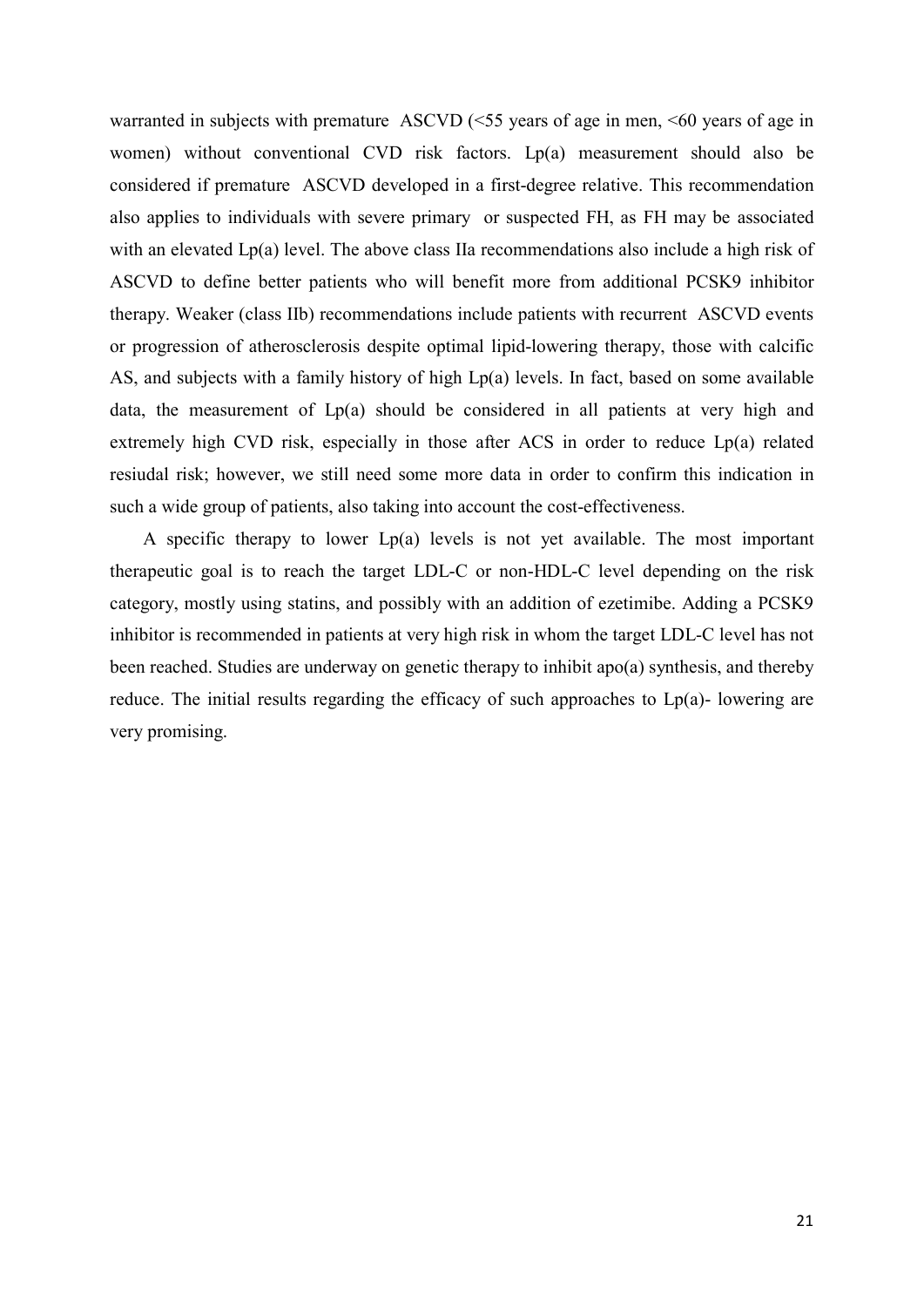warranted in subjects with premature ASCVD (<55 years of age in men, <60 years of age in women) without conventional CVD risk factors. Lp(a) measurement should also be considered if premature ASCVD developed in a first-degree relative. This recommendation also applies to individuals with severe primary or suspected FH, as FH may be associated with an elevated Lp(a) level. The above class IIa recommendations also include a high risk of ASCVD to define better patients who will benefit more from additional PCSK9 inhibitor therapy. Weaker (class IIb) recommendations include patients with recurrent ASCVD events or progression of atherosclerosis despite optimal lipid-lowering therapy, those with calcific AS, and subjects with a family history of high Lp(a) levels. In fact, based on some available data, the measurement of Lp(a) should be considered in all patients at very high and extremely high CVD risk, especially in those after ACS in order to reduce Lp(a) related resiudal risk; however, we still need some more data in order to confirm this indication in such a wide group of patients, also taking into account the cost-effectiveness.

A specific therapy to lower  $Lp(a)$  levels is not yet available. The most important therapeutic goal is to reach the target LDL-C or non-HDL-C level depending on the risk category, mostly using statins, and possibly with an addition of ezetimibe. Adding a PCSK9 inhibitor is recommended in patients at very high risk in whom the target LDL-C level has not been reached. Studies are underway on genetic therapy to inhibit apo(a) synthesis, and thereby reduce. The initial results regarding the efficacy of such approaches to  $Lp(a)$ - lowering are very promising.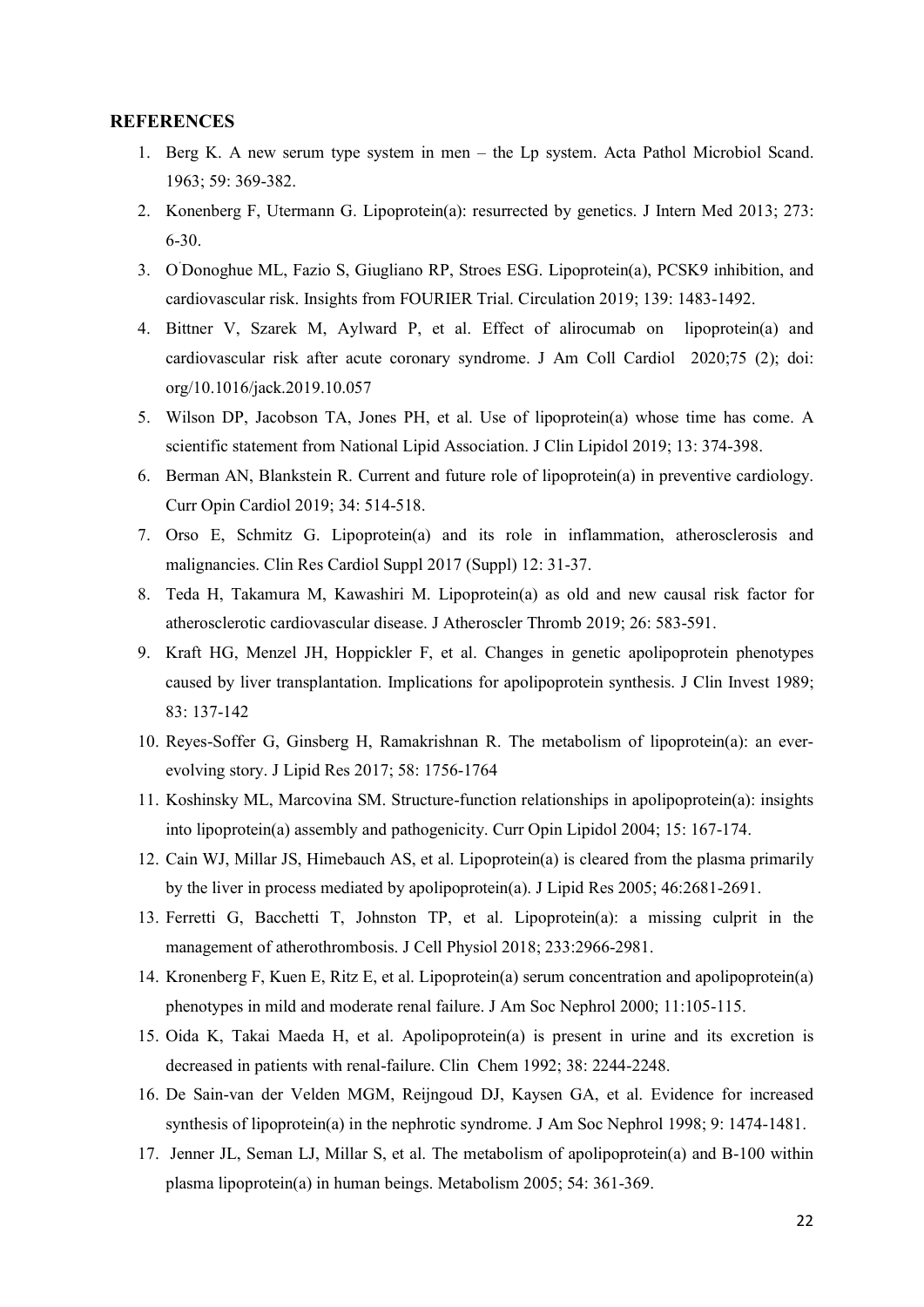#### **REFERENCES**

- 1. Berg K. A new serum type system in men the Lp system. Acta Pathol Microbiol Scand. 1963; 59: 369-382.
- 2. Konenberg F, Utermann G. Lipoprotein(a): resurrected by genetics. J Intern Med 2013; 273: 6-30.
- 3. O´ Donoghue ML, Fazio S, Giugliano RP, Stroes ESG. Lipoprotein(a), PCSK9 inhibition, and cardiovascular risk. Insights from FOURIER Trial. Circulation 2019; 139: 1483-1492.
- 4. Bittner V, Szarek M, Aylward P, et al. Effect of alirocumab on lipoprotein(a) and cardiovascular risk after acute coronary syndrome. J Am Coll Cardiol 2020;75 (2); doi: org/10.1016/jack.2019.10.057
- 5. Wilson DP, Jacobson TA, Jones PH, et al. Use of lipoprotein(a) whose time has come. A scientific statement from National Lipid Association. J Clin Lipidol 2019; 13: 374-398.
- 6. Berman AN, Blankstein R. Current and future role of lipoprotein(a) in preventive cardiology. Curr Opin Cardiol 2019; 34: 514-518.
- 7. Orso E, Schmitz G. Lipoprotein(a) and its role in inflammation, atherosclerosis and malignancies. Clin Res Cardiol Suppl 2017 (Suppl) 12: 31-37.
- 8. Teda H, Takamura M, Kawashiri M. Lipoprotein(a) as old and new causal risk factor for atherosclerotic cardiovascular disease. J Atheroscler Thromb 2019; 26: 583-591.
- 9. Kraft HG, Menzel JH, Hoppickler F, et al. Changes in genetic apolipoprotein phenotypes caused by liver transplantation. Implications for apolipoprotein synthesis. J Clin Invest 1989; 83: 137-142
- 10. Reyes-Soffer G, Ginsberg H, Ramakrishnan R. The metabolism of lipoprotein(a): an everevolving story. J Lipid Res 2017; 58: 1756-1764
- 11. Koshinsky ML, Marcovina SM. Structure-function relationships in apolipoprotein(a): insights into lipoprotein(a) assembly and pathogenicity. Curr Opin Lipidol 2004; 15: 167-174.
- 12. Cain WJ, Millar JS, Himebauch AS, et al. Lipoprotein(a) is cleared from the plasma primarily by the liver in process mediated by apolipoprotein(a). J Lipid Res 2005; 46:2681-2691.
- 13. Ferretti G, Bacchetti T, Johnston TP, et al. Lipoprotein(a): a missing culprit in the management of atherothrombosis. J Cell Physiol 2018; 233:2966-2981.
- 14. Kronenberg F, Kuen E, Ritz E, et al. Lipoprotein(a) serum concentration and apolipoprotein(a) phenotypes in mild and moderate renal failure. J Am Soc Nephrol 2000; 11:105-115.
- 15. Oida K, Takai Maeda H, et al. Apolipoprotein(a) is present in urine and its excretion is decreased in patients with renal-failure. Clin Chem 1992; 38: 2244-2248.
- 16. De Sain-van der Velden MGM, Reijngoud DJ, Kaysen GA, et al. Evidence for increased synthesis of lipoprotein(a) in the nephrotic syndrome. J Am Soc Nephrol 1998; 9: 1474-1481.
- 17. Jenner JL, Seman LJ, Millar S, et al. The metabolism of apolipoprotein(a) and B-100 within plasma lipoprotein(a) in human beings. Metabolism 2005; 54: 361-369.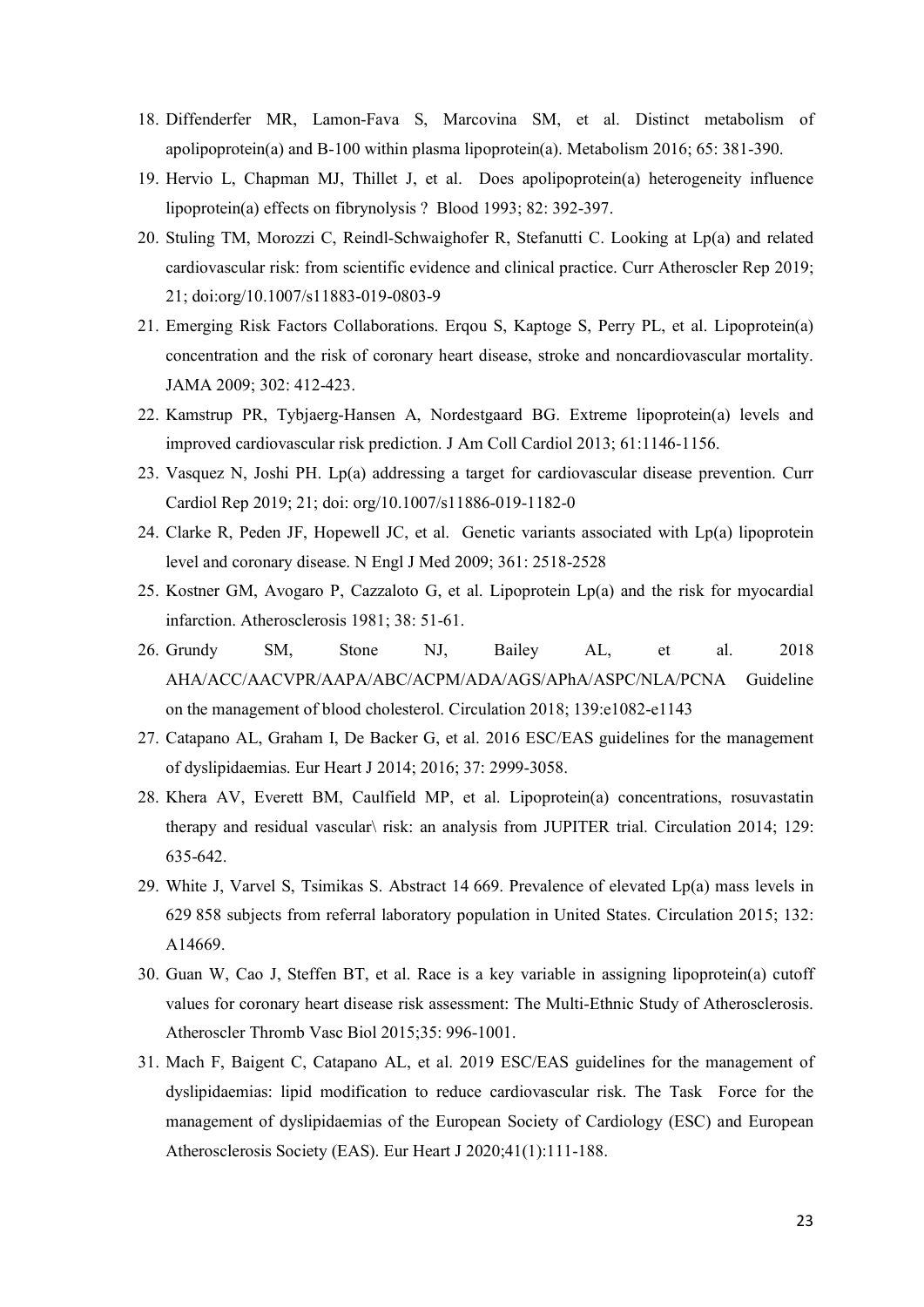- 18. Diffenderfer MR, Lamon-Fava S, Marcovina SM, et al. Distinct metabolism of apolipoprotein(a) and B-100 within plasma lipoprotein(a). Metabolism 2016; 65: 381-390.
- 19. Hervio L, Chapman MJ, Thillet J, et al. Does apolipoprotein(a) heterogeneity influence lipoprotein(a) effects on fibrynolysis ? Blood 1993; 82: 392-397.
- 20. Stuling TM, Morozzi C, Reindl-Schwaighofer R, Stefanutti C. Looking at Lp(a) and related cardiovascular risk: from scientific evidence and clinical practice. Curr Atheroscler Rep 2019; 21; doi:org/10.1007/s11883-019-0803-9
- 21. Emerging Risk Factors Collaborations. Erqou S, Kaptoge S, Perry PL, et al. Lipoprotein(a) concentration and the risk of coronary heart disease, stroke and noncardiovascular mortality. JAMA 2009; 302: 412-423.
- 22. Kamstrup PR, Tybjaerg-Hansen A, Nordestgaard BG. Extreme lipoprotein(a) levels and improved cardiovascular risk prediction. J Am Coll Cardiol 2013; 61:1146-1156.
- 23. Vasquez N, Joshi PH. Lp(a) addressing a target for cardiovascular disease prevention. Curr Cardiol Rep 2019; 21; doi: org/10.1007/s11886-019-1182-0
- 24. Clarke R, Peden JF, Hopewell JC, et al. Genetic variants associated with Lp(a) lipoprotein level and coronary disease. N Engl J Med 2009; 361: 2518-2528
- 25. Kostner GM, Avogaro P, Cazzaloto G, et al. Lipoprotein Lp(a) and the risk for myocardial infarction. Atherosclerosis 1981; 38: 51-61.
- 26. Grundy SM, Stone NJ, Bailey AL, et al. 2018 AHA/ACC/AACVPR/AAPA/ABC/ACPM/ADA/AGS/APhA/ASPC/NLA/PCNA Guideline on the management of blood cholesterol. Circulation 2018; 139:e1082-e1143
- 27. Catapano AL, Graham I, De Backer G, et al. 2016 ESC/EAS guidelines for the management of dyslipidaemias. Eur Heart J 2014; 2016; 37: 2999-3058.
- 28. Khera AV, Everett BM, Caulfield MP, et al. Lipoprotein(a) concentrations, rosuvastatin therapy and residual vascular\ risk: an analysis from JUPITER trial. Circulation 2014; 129: 635-642.
- 29. White J, Varvel S, Tsimikas S. Abstract 14 669. Prevalence of elevated Lp(a) mass levels in 629 858 subjects from referral laboratory population in United States. Circulation 2015; 132: A14669.
- 30. Guan W, Cao J, Steffen BT, et al. Race is a key variable in assigning lipoprotein(a) cutoff values for coronary heart disease risk assessment: The Multi-Ethnic Study of Atherosclerosis. Atheroscler Thromb Vasc Biol 2015;35: 996-1001.
- 31. Mach F, Baigent C, Catapano AL, et al. 2019 ESC/EAS guidelines for the management of dyslipidaemias: lipid modification to reduce cardiovascular risk. The Task Force for the management of dyslipidaemias of the European Society of Cardiology (ESC) and European Atherosclerosis Society (EAS). Eur Heart J 2020;41(1):111-188.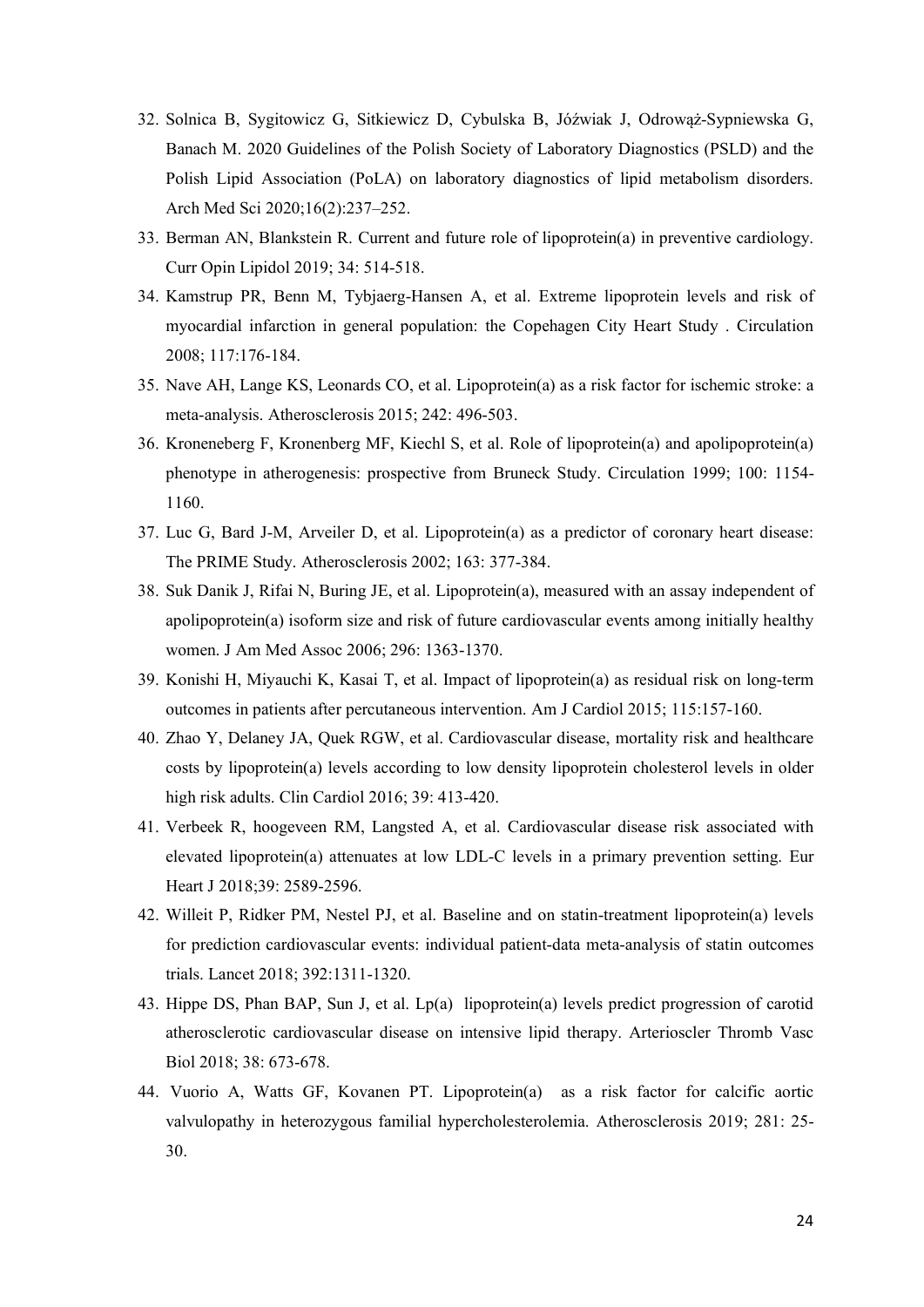- 32. Solnica B, Sygitowicz G, Sitkiewicz D, Cybulska B, Jóźwiak J, Odrowąż-Sypniewska G, Banach M. 2020 Guidelines of the Polish Society of Laboratory Diagnostics (PSLD) and the Polish Lipid Association (PoLA) on laboratory diagnostics of lipid metabolism disorders. Arch Med Sci 2020;16(2):237–252.
- 33. Berman AN, Blankstein R. Current and future role of lipoprotein(a) in preventive cardiology. Curr Opin Lipidol 2019; 34: 514-518.
- 34. Kamstrup PR, Benn M, Tybjaerg-Hansen A, et al. Extreme lipoprotein levels and risk of myocardial infarction in general population: the Copehagen City Heart Study . Circulation 2008; 117:176-184.
- 35. Nave AH, Lange KS, Leonards CO, et al. Lipoprotein(a) as a risk factor for ischemic stroke: a meta-analysis. Atherosclerosis 2015; 242: 496-503.
- 36. Kroneneberg F, Kronenberg MF, Kiechl S, et al. Role of lipoprotein(a) and apolipoprotein(a) phenotype in atherogenesis: prospective from Bruneck Study. Circulation 1999; 100: 1154- 1160.
- 37. Luc G, Bard J-M, Arveiler D, et al. Lipoprotein(a) as a predictor of coronary heart disease: The PRIME Study. Atherosclerosis 2002; 163: 377-384.
- 38. Suk Danik J, Rifai N, Buring JE, et al. Lipoprotein(a), measured with an assay independent of apolipoprotein(a) isoform size and risk of future cardiovascular events among initially healthy women. J Am Med Assoc 2006; 296: 1363-1370.
- 39. Konishi H, Miyauchi K, Kasai T, et al. Impact of lipoprotein(a) as residual risk on long-term outcomes in patients after percutaneous intervention. Am J Cardiol 2015; 115:157-160.
- 40. Zhao Y, Delaney JA, Quek RGW, et al. Cardiovascular disease, mortality risk and healthcare costs by lipoprotein(a) levels according to low density lipoprotein cholesterol levels in older high risk adults. Clin Cardiol 2016; 39: 413-420.
- 41. Verbeek R, hoogeveen RM, Langsted A, et al. Cardiovascular disease risk associated with elevated lipoprotein(a) attenuates at low LDL-C levels in a primary prevention setting. Eur Heart J 2018;39: 2589-2596.
- 42. Willeit P, Ridker PM, Nestel PJ, et al. Baseline and on statin-treatment lipoprotein(a) levels for prediction cardiovascular events: individual patient-data meta-analysis of statin outcomes trials. Lancet 2018; 392:1311-1320.
- 43. Hippe DS, Phan BAP, Sun J, et al. Lp(a) lipoprotein(a) levels predict progression of carotid atherosclerotic cardiovascular disease on intensive lipid therapy. Arterioscler Thromb Vasc Biol 2018; 38: 673-678.
- 44. Vuorio A, Watts GF, Kovanen PT. Lipoprotein(a) as a risk factor for calcific aortic valvulopathy in heterozygous familial hypercholesterolemia. Atherosclerosis 2019; 281: 25- 30.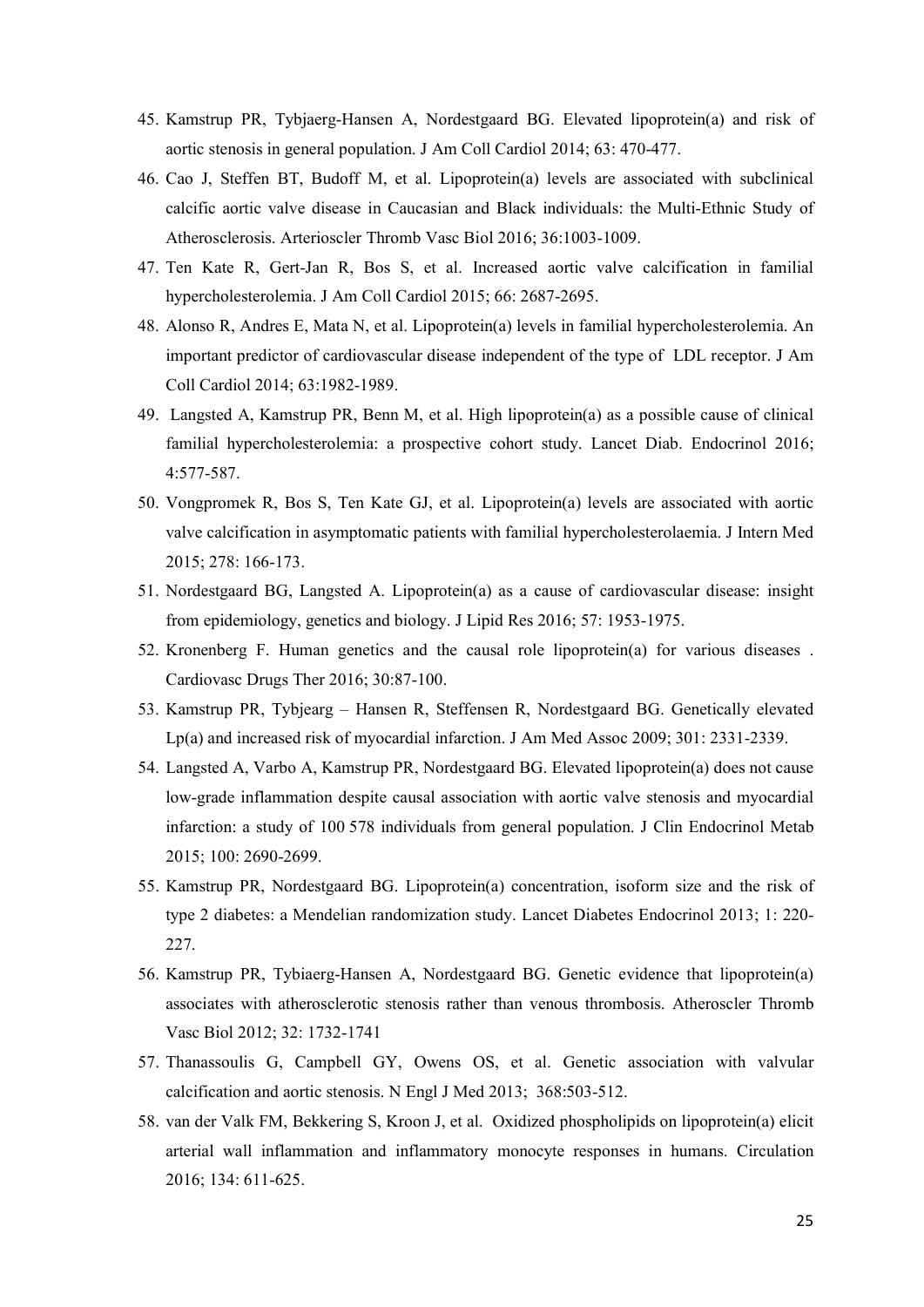- 45. Kamstrup PR, Tybjaerg-Hansen A, Nordestgaard BG. Elevated lipoprotein(a) and risk of aortic stenosis in general population. J Am Coll Cardiol 2014; 63: 470-477.
- 46. Cao J, Steffen BT, Budoff M, et al. Lipoprotein(a) levels are associated with subclinical calcific aortic valve disease in Caucasian and Black individuals: the Multi-Ethnic Study of Atherosclerosis. Arterioscler Thromb Vasc Biol 2016; 36:1003-1009.
- 47. Ten Kate R, Gert-Jan R, Bos S, et al. Increased aortic valve calcification in familial hypercholesterolemia. J Am Coll Cardiol 2015; 66: 2687-2695.
- 48. Alonso R, Andres E, Mata N, et al. Lipoprotein(a) levels in familial hypercholesterolemia. An important predictor of cardiovascular disease independent of the type of LDL receptor. J Am Coll Cardiol 2014; 63:1982-1989.
- 49. Langsted A, Kamstrup PR, Benn M, et al. High lipoprotein(a) as a possible cause of clinical familial hypercholesterolemia: a prospective cohort study. Lancet Diab. Endocrinol 2016; 4:577-587.
- 50. Vongpromek R, Bos S, Ten Kate GJ, et al. Lipoprotein(a) levels are associated with aortic valve calcification in asymptomatic patients with familial hypercholesterolaemia. J Intern Med 2015; 278: 166-173.
- 51. Nordestgaard BG, Langsted A. Lipoprotein(a) as a cause of cardiovascular disease: insight from epidemiology, genetics and biology. J Lipid Res 2016; 57: 1953-1975.
- 52. Kronenberg F. Human genetics and the causal role lipoprotein(a) for various diseases . Cardiovasc Drugs Ther 2016; 30:87-100.
- 53. Kamstrup PR, Tybjearg Hansen R, Steffensen R, Nordestgaard BG. Genetically elevated Lp(a) and increased risk of myocardial infarction. J Am Med Assoc 2009; 301: 2331-2339.
- 54. Langsted A, Varbo A, Kamstrup PR, Nordestgaard BG. Elevated lipoprotein(a) does not cause low-grade inflammation despite causal association with aortic valve stenosis and myocardial infarction: a study of 100 578 individuals from general population. J Clin Endocrinol Metab 2015; 100: 2690-2699.
- 55. Kamstrup PR, Nordestgaard BG. Lipoprotein(a) concentration, isoform size and the risk of type 2 diabetes: a Mendelian randomization study. Lancet Diabetes Endocrinol 2013; 1: 220- 227.
- 56. Kamstrup PR, Tybiaerg-Hansen A, Nordestgaard BG. Genetic evidence that lipoprotein(a) associates with atherosclerotic stenosis rather than venous thrombosis. Atheroscler Thromb Vasc Biol 2012; 32: 1732-1741
- 57. Thanassoulis G, Campbell GY, Owens OS, et al. Genetic association with valvular calcification and aortic stenosis. N Engl J Med 2013; 368:503-512.
- 58. van der Valk FM, Bekkering S, Kroon J, et al. Oxidized phospholipids on lipoprotein(a) elicit arterial wall inflammation and inflammatory monocyte responses in humans. Circulation 2016; 134: 611-625.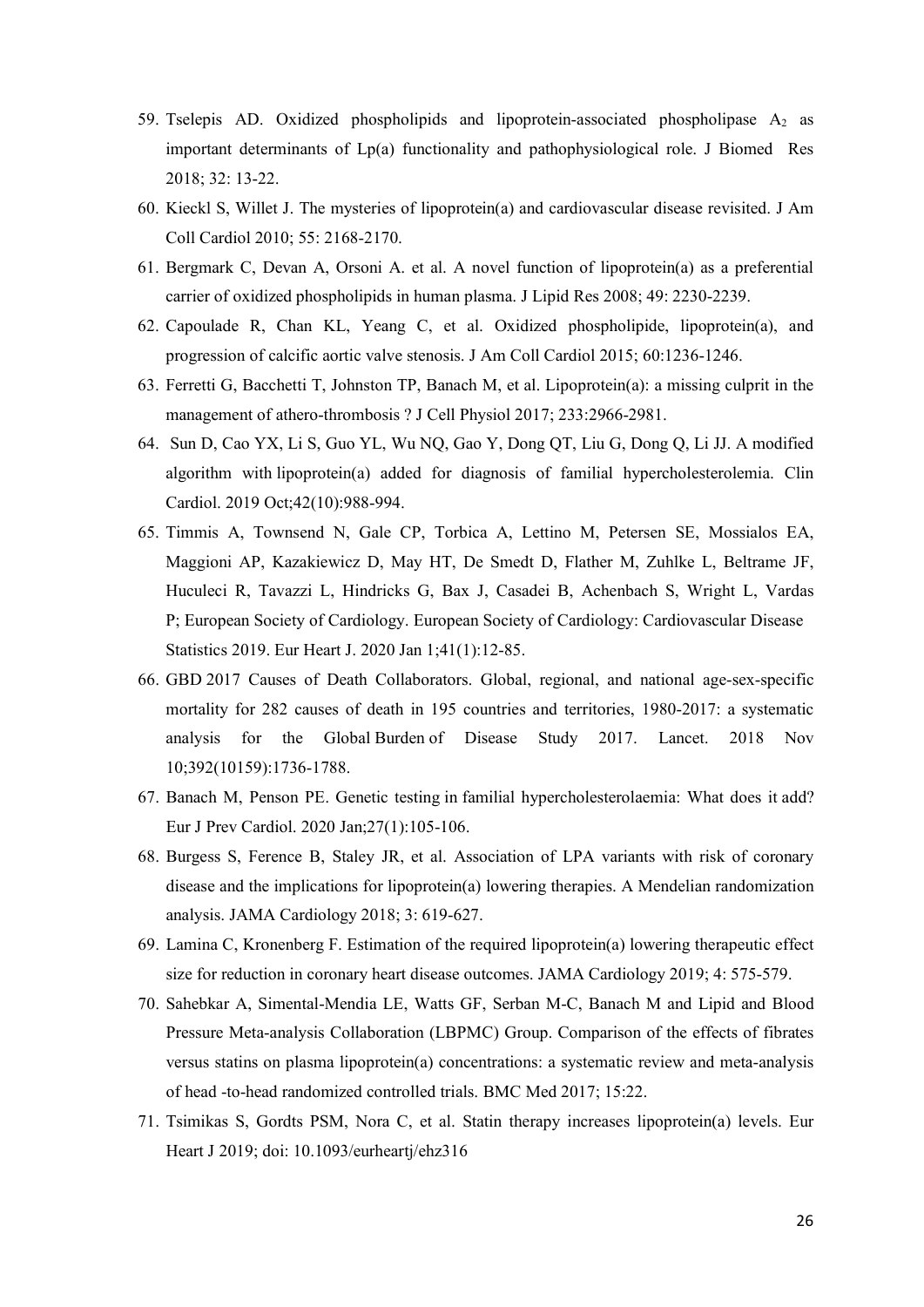- 59. Tselepis AD. Oxidized phospholipids and lipoprotein-associated phospholipase  $A_2$  as important determinants of Lp(a) functionality and pathophysiological role. J Biomed Res 2018; 32: 13-22.
- 60. Kieckl S, Willet J. The mysteries of lipoprotein(a) and cardiovascular disease revisited. J Am Coll Cardiol 2010; 55: 2168-2170.
- 61. Bergmark C, Devan A, Orsoni A. et al. A novel function of lipoprotein(a) as a preferential carrier of oxidized phospholipids in human plasma. J Lipid Res 2008; 49: 2230-2239.
- 62. Capoulade R, Chan KL, Yeang C, et al. Oxidized phospholipide, lipoprotein(a), and progression of calcific aortic valve stenosis. J Am Coll Cardiol 2015; 60:1236-1246.
- 63. Ferretti G, Bacchetti T, Johnston TP, Banach M, et al. Lipoprotein(a): a missing culprit in the management of athero-thrombosis ? J Cell Physiol 2017; 233:2966-2981.
- 64. Sun D, Cao YX, Li S, Guo YL, Wu NQ, Gao Y, Dong QT, Liu G, Dong Q, Li JJ. A modified algorithm with lipoprotein(a) added for diagnosis of familial hypercholesterolemia. Clin Cardiol. 2019 Oct;42(10):988-994.
- 65. Timmis A, Townsend N, Gale CP, Torbica A, Lettino M, Petersen SE, Mossialos EA, Maggioni AP, Kazakiewicz D, May HT, De Smedt D, Flather M, Zuhlke L, Beltrame JF, Huculeci R, Tavazzi L, Hindricks G, Bax J, Casadei B, Achenbach S, Wright L, Vardas P; European Society of Cardiology. European Society of Cardiology: Cardiovascular Disease Statistics 2019. Eur Heart J. 2020 Jan 1;41(1):12-85.
- 66. GBD 2017 Causes of Death Collaborators. Global, regional, and national age-sex-specific mortality for 282 causes of death in 195 countries and territories, 1980-2017: a systematic analysis for the Global Burden of Disease Study 2017. Lancet. 2018 Nov 10;392(10159):1736-1788.
- 67. Banach M, Penson PE. Genetic testing in familial hypercholesterolaemia: What does it add? Eur J Prev Cardiol. 2020 Jan;27(1):105-106.
- 68. Burgess S, Ference B, Staley JR, et al. Association of LPA variants with risk of coronary disease and the implications for lipoprotein(a) lowering therapies. A Mendelian randomization analysis. JAMA Cardiology 2018; 3: 619-627.
- 69. Lamina C, Kronenberg F. Estimation of the required lipoprotein(a) lowering therapeutic effect size for reduction in coronary heart disease outcomes. JAMA Cardiology 2019; 4: 575-579.
- 70. Sahebkar A, Simental-Mendia LE, Watts GF, Serban M-C, Banach M and Lipid and Blood Pressure Meta-analysis Collaboration (LBPMC) Group. Comparison of the effects of fibrates versus statins on plasma lipoprotein(a) concentrations: a systematic review and meta-analysis of head -to-head randomized controlled trials. BMC Med 2017; 15:22.
- 71. Tsimikas S, Gordts PSM, Nora C, et al. Statin therapy increases lipoprotein(a) levels. Eur Heart J 2019; doi: 10.1093/eurheartj/ehz316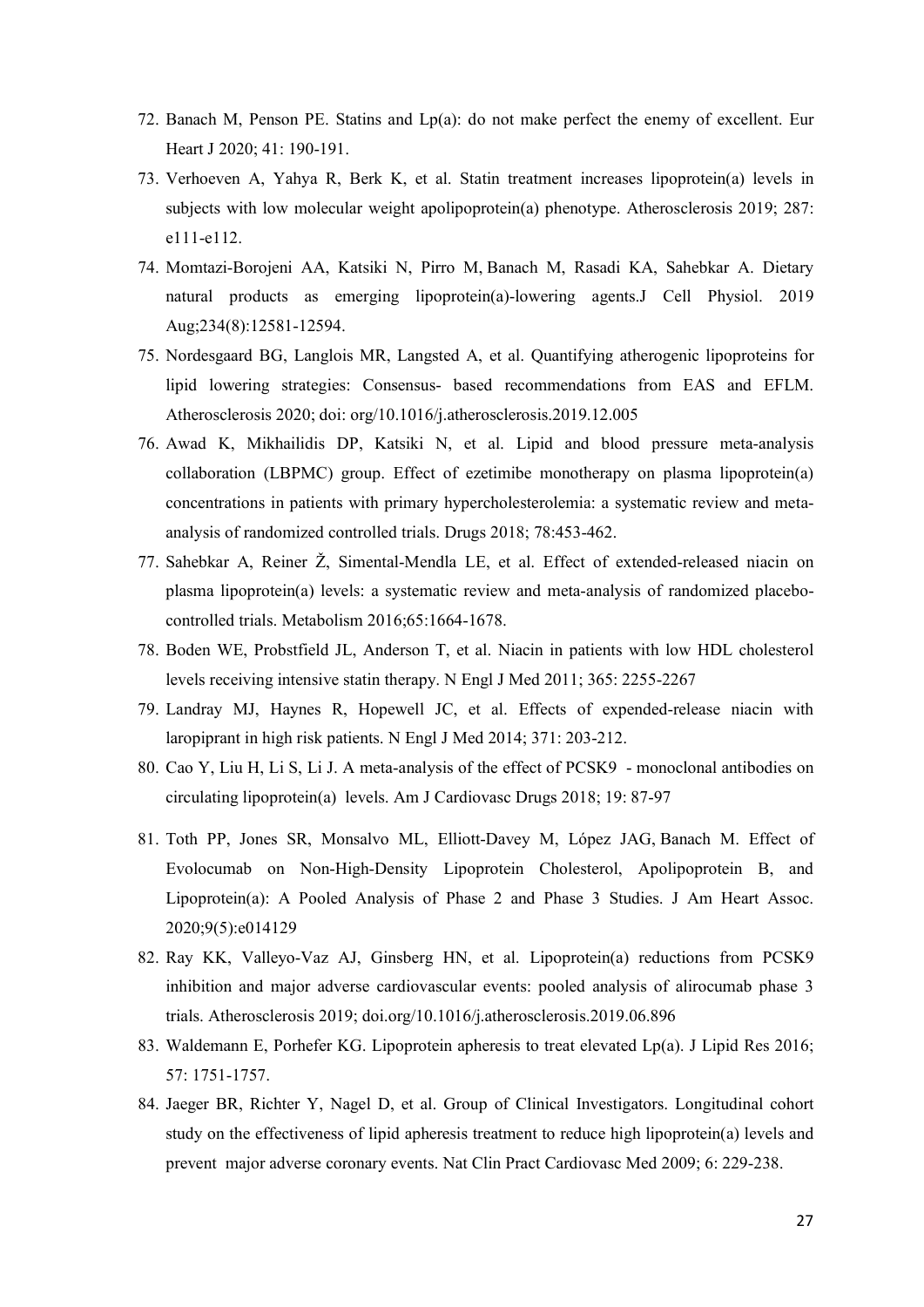- 72. Banach M, Penson PE. Statins and Lp(a): do not make perfect the enemy of excellent. Eur Heart J 2020; 41: 190-191.
- 73. Verhoeven A, Yahya R, Berk K, et al. Statin treatment increases lipoprotein(a) levels in subjects with low molecular weight apolipoprotein(a) phenotype. Atherosclerosis 2019; 287: e111-e112.
- 74. Momtazi-Borojeni AA, Katsiki N, Pirro M, Banach M, Rasadi KA, Sahebkar A. Dietary natural products as emerging lipoprotein(a)-lowering agents.J Cell Physiol. 2019 Aug;234(8):12581-12594.
- 75. Nordesgaard BG, Langlois MR, Langsted A, et al. Quantifying atherogenic lipoproteins for lipid lowering strategies: Consensus- based recommendations from EAS and EFLM. Atherosclerosis 2020; doi: org/10.1016/j.atherosclerosis.2019.12.005
- 76. Awad K, Mikhailidis DP, Katsiki N, et al. Lipid and blood pressure meta-analysis collaboration (LBPMC) group. Effect of ezetimibe monotherapy on plasma lipoprotein(a) concentrations in patients with primary hypercholesterolemia: a systematic review and metaanalysis of randomized controlled trials. Drugs 2018; 78:453-462.
- 77. Sahebkar A, Reiner Ž, Simental-Mendla LE, et al. Effect of extended-released niacin on plasma lipoprotein(a) levels: a systematic review and meta-analysis of randomized placebocontrolled trials. Metabolism 2016;65:1664-1678.
- 78. Boden WE, Probstfield JL, Anderson T, et al. Niacin in patients with low HDL cholesterol levels receiving intensive statin therapy. N Engl J Med 2011; 365: 2255-2267
- 79. Landray MJ, Haynes R, Hopewell JC, et al. Effects of expended-release niacin with laropiprant in high risk patients. N Engl J Med 2014; 371: 203-212.
- 80. Cao Y, Liu H, Li S, Li J. A meta-analysis of the effect of PCSK9 monoclonal antibodies on circulating lipoprotein(a) levels. Am J Cardiovasc Drugs 2018; 19: 87-97
- 81. Toth PP, Jones SR, Monsalvo ML, Elliott-Davey M, López JAG, Banach M. Effect of Evolocumab on Non-High-Density Lipoprotein Cholesterol, Apolipoprotein B, and Lipoprotein(a): A Pooled Analysis of Phase 2 and Phase 3 Studies. J Am Heart Assoc. 2020;9(5):e014129
- 82. Ray KK, Valleyo-Vaz AJ, Ginsberg HN, et al. Lipoprotein(a) reductions from PCSK9 inhibition and major adverse cardiovascular events: pooled analysis of alirocumab phase 3 trials. Atherosclerosis 2019; doi.org/10.1016/j.atherosclerosis.2019.06.896
- 83. Waldemann E, Porhefer KG. Lipoprotein apheresis to treat elevated Lp(a). J Lipid Res 2016; 57: 1751-1757.
- 84. Jaeger BR, Richter Y, Nagel D, et al. Group of Clinical Investigators. Longitudinal cohort study on the effectiveness of lipid apheresis treatment to reduce high lipoprotein(a) levels and prevent major adverse coronary events. Nat Clin Pract Cardiovasc Med 2009; 6: 229-238.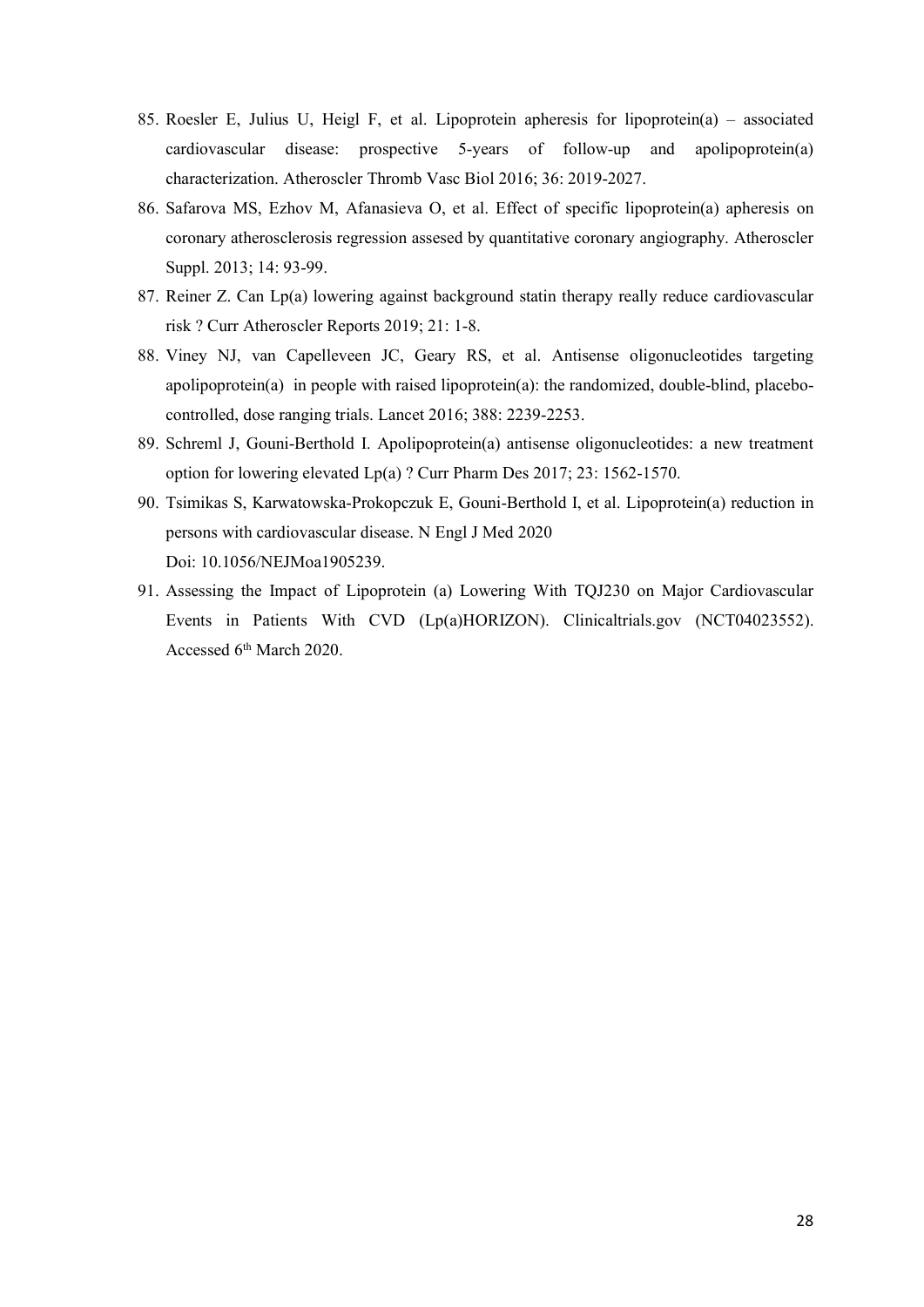- 85. Roesler E, Julius U, Heigl F, et al. Lipoprotein apheresis for lipoprotein(a) associated cardiovascular disease: prospective 5-years of follow-up and apolipoprotein(a) characterization. Atheroscler Thromb Vasc Biol 2016; 36: 2019-2027.
- 86. Safarova MS, Ezhov M, Afanasieva O, et al. Effect of specific lipoprotein(a) apheresis on coronary atherosclerosis regression assesed by quantitative coronary angiography. Atheroscler Suppl. 2013; 14: 93-99.
- 87. Reiner Z. Can Lp(a) lowering against background statin therapy really reduce cardiovascular risk ? Curr Atheroscler Reports 2019; 21: 1-8.
- 88. Viney NJ, van Capelleveen JC, Geary RS, et al. Antisense oligonucleotides targeting apolipoprotein(a) in people with raised lipoprotein(a): the randomized, double-blind, placebocontrolled, dose ranging trials. Lancet 2016; 388: 2239-2253.
- 89. Schreml J, Gouni-Berthold I. Apolipoprotein(a) antisense oligonucleotides: a new treatment option for lowering elevated Lp(a) ? Curr Pharm Des 2017; 23: 1562-1570.
- 90. Tsimikas S, Karwatowska-Prokopczuk E, Gouni-Berthold I, et al. Lipoprotein(a) reduction in persons with cardiovascular disease. N Engl J Med 2020 Doi: 10.1056/NEJMoa1905239.
- 91. Assessing the Impact of Lipoprotein (a) Lowering With TQJ230 on Major Cardiovascular Events in Patients With CVD (Lp(a)HORIZON). Clinicaltrials.gov (NCT04023552). Accessed 6<sup>th</sup> March 2020.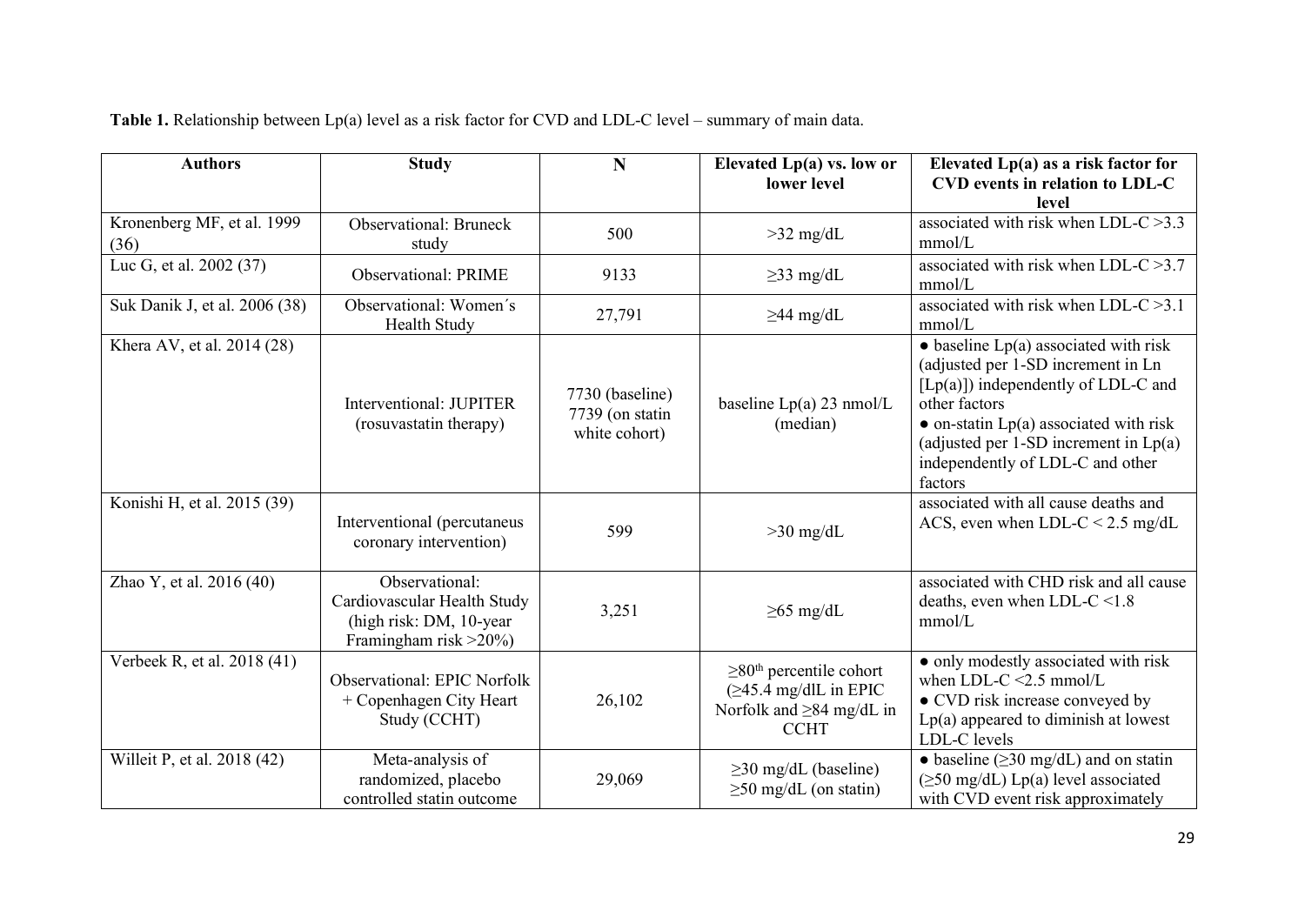| <b>Authors</b>                     | <b>Study</b>                                                                                      | N                                                   | Elevated $Lp(a)$ vs. low or                                                                                           | Elevated $Lp(a)$ as a risk factor for                                                                                                                                                                                                                                                        |
|------------------------------------|---------------------------------------------------------------------------------------------------|-----------------------------------------------------|-----------------------------------------------------------------------------------------------------------------------|----------------------------------------------------------------------------------------------------------------------------------------------------------------------------------------------------------------------------------------------------------------------------------------------|
|                                    |                                                                                                   |                                                     | lower level                                                                                                           | CVD events in relation to LDL-C<br>level                                                                                                                                                                                                                                                     |
| Kronenberg MF, et al. 1999<br>(36) | <b>Observational: Bruneck</b><br>study                                                            | 500                                                 | $>32$ mg/dL                                                                                                           | associated with risk when LDL-C $>3.3$<br>mmol/L                                                                                                                                                                                                                                             |
| Luc G, et al. 2002 (37)            | <b>Observational: PRIME</b>                                                                       | 9133                                                | $\geq$ 33 mg/dL                                                                                                       | associated with risk when LDL-C $>3.7$<br>mmol/L                                                                                                                                                                                                                                             |
| Suk Danik J, et al. 2006 (38)      | Observational: Women's<br>Health Study                                                            | 27,791                                              | $\geq$ 44 mg/dL                                                                                                       | associated with risk when LDL-C $>3.1$<br>mmol/L                                                                                                                                                                                                                                             |
| Khera AV, et al. 2014 (28)         | Interventional: JUPITER<br>(rosuvastatin therapy)                                                 | 7730 (baseline)<br>7739 (on statin<br>white cohort) | baseline $Lp(a)$ 23 nmol/L<br>(median)                                                                                | $\bullet$ baseline Lp(a) associated with risk<br>(adjusted per 1-SD increment in Ln<br>$[Lp(a)]$ ) independently of LDL-C and<br>other factors<br>$\bullet$ on-statin Lp(a) associated with risk<br>(adjusted per 1-SD increment in $Lp(a)$ )<br>independently of LDL-C and other<br>factors |
| Konishi H, et al. 2015 (39)        | Interventional (percutaneus<br>coronary intervention)                                             | 599                                                 | $>30$ mg/dL                                                                                                           | associated with all cause deaths and<br>ACS, even when LDL-C < $2.5 \text{ mg/dL}$                                                                                                                                                                                                           |
| Zhao Y, et al. 2016 (40)           | Observational:<br>Cardiovascular Health Study<br>(high risk: DM, 10-year<br>Framingham risk >20%) | 3,251                                               | $\geq 65$ mg/dL                                                                                                       | associated with CHD risk and all cause<br>deaths, even when LDL-C $\leq$ 1.8<br>mmol/L                                                                                                                                                                                                       |
| Verbeek R, et al. 2018 (41)        | <b>Observational: EPIC Norfolk</b><br>+ Copenhagen City Heart<br>Study (CCHT)                     | 26,102                                              | $\geq 80$ <sup>th</sup> percentile cohort<br>$(≥45.4$ mg/dlL in EPIC<br>Norfolk and $\geq 84$ mg/dL in<br><b>CCHT</b> | • only modestly associated with risk<br>when LDL-C $\leq$ 2.5 mmol/L<br>• CVD risk increase conveyed by<br>$Lp(a)$ appeared to diminish at lowest<br>LDL-C levels                                                                                                                            |
| Willeit P, et al. 2018 (42)        | Meta-analysis of<br>randomized, placebo<br>controlled statin outcome                              | 29,069                                              | $\geq$ 30 mg/dL (baseline)<br>$\geq$ 50 mg/dL (on statin)                                                             | • baseline ( $\geq$ 30 mg/dL) and on statin<br>$(\geq 50 \text{ mg/dL})$ Lp(a) level associated<br>with CVD event risk approximately                                                                                                                                                         |

**Table 1.** Relationship between Lp(a) level as a risk factor for CVD and LDL-C level – summary of main data.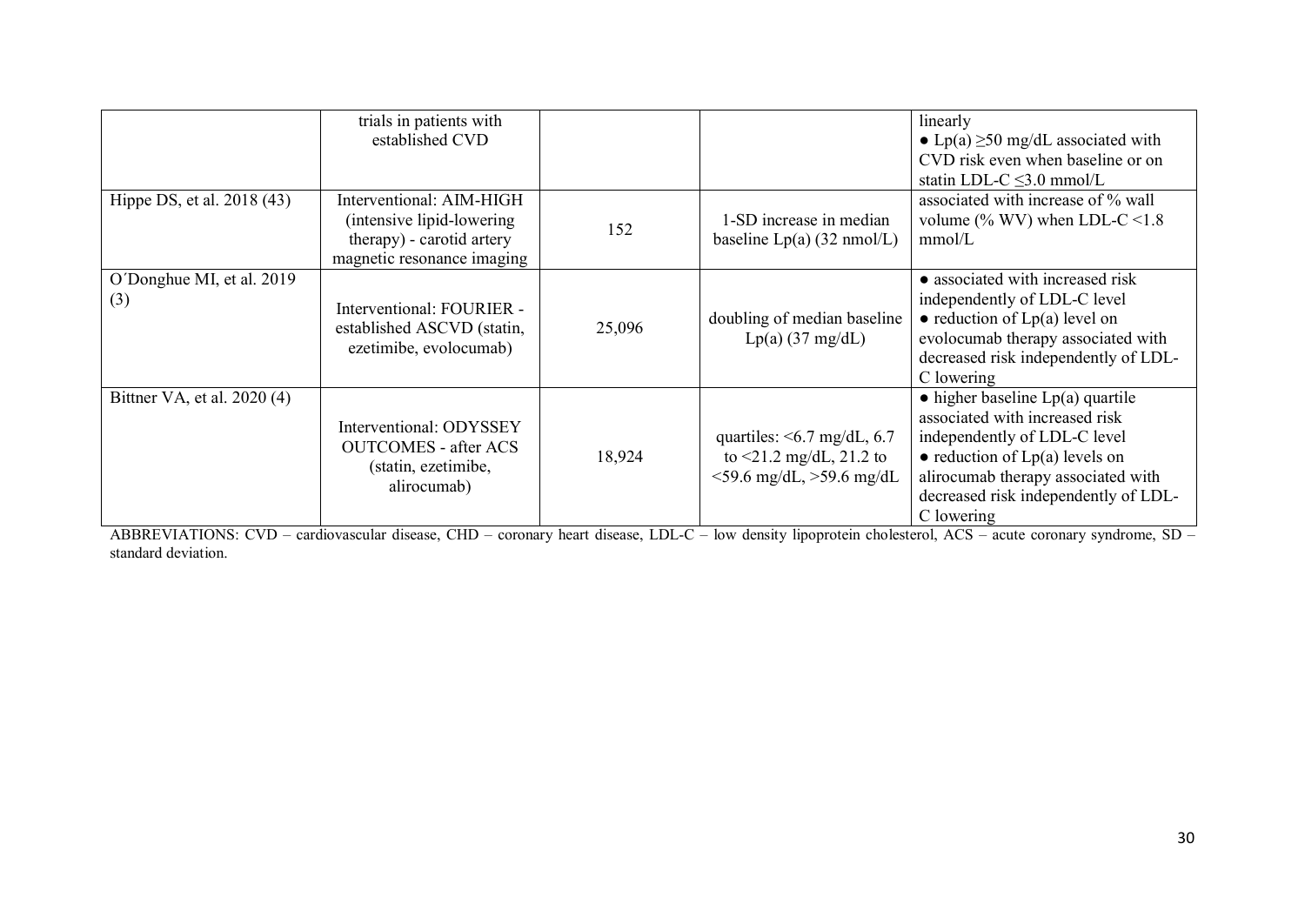|                                  | trials in patients with<br>established CVD                                                                       |        |                                                                                                 | linearly<br>• Lp(a) $\geq$ 50 mg/dL associated with<br>CVD risk even when baseline or on<br>statin LDL-C $\leq$ 3.0 mmol/L                                                                                                                       |
|----------------------------------|------------------------------------------------------------------------------------------------------------------|--------|-------------------------------------------------------------------------------------------------|--------------------------------------------------------------------------------------------------------------------------------------------------------------------------------------------------------------------------------------------------|
| Hippe DS, et al. 2018 (43)       | Interventional: AIM-HIGH<br>(intensive lipid-lowering<br>therapy) - carotid artery<br>magnetic resonance imaging | 152    | 1-SD increase in median<br>baseline $Lp(a)$ (32 nmol/L)                                         | associated with increase of % wall<br>volume (% WV) when LDL-C <1.8<br>mmol/L                                                                                                                                                                    |
| O'Donghue MI, et al. 2019<br>(3) | Interventional: FOURIER -<br>established ASCVD (statin,<br>ezetimibe, evolocumab)                                | 25,096 | doubling of median baseline<br>$Lp(a)$ (37 mg/dL)                                               | • associated with increased risk<br>independently of LDL-C level<br>$\bullet$ reduction of Lp(a) level on<br>evolocumab therapy associated with<br>decreased risk independently of LDL-<br>C lowering                                            |
| Bittner VA, et al. 2020 (4)      | Interventional: ODYSSEY<br><b>OUTCOMES</b> - after ACS<br>(statin, ezetimibe,<br>alirocumab)                     | 18,924 | quartiles: $\leq 6.7$ mg/dL, 6.7<br>to $\leq$ 1.2 mg/dL, 21.2 to<br>$<$ 59.6 mg/dL, >59.6 mg/dL | $\bullet$ higher baseline Lp(a) quartile<br>associated with increased risk<br>independently of LDL-C level<br>$\bullet$ reduction of Lp(a) levels on<br>alirocumab therapy associated with<br>decreased risk independently of LDL-<br>C lowering |

ABBREVIATIONS: CVD – cardiovascular disease, CHD – coronary heart disease, LDL-C – low density lipoprotein cholesterol, ACS – acute coronary syndrome, SD – standard deviation.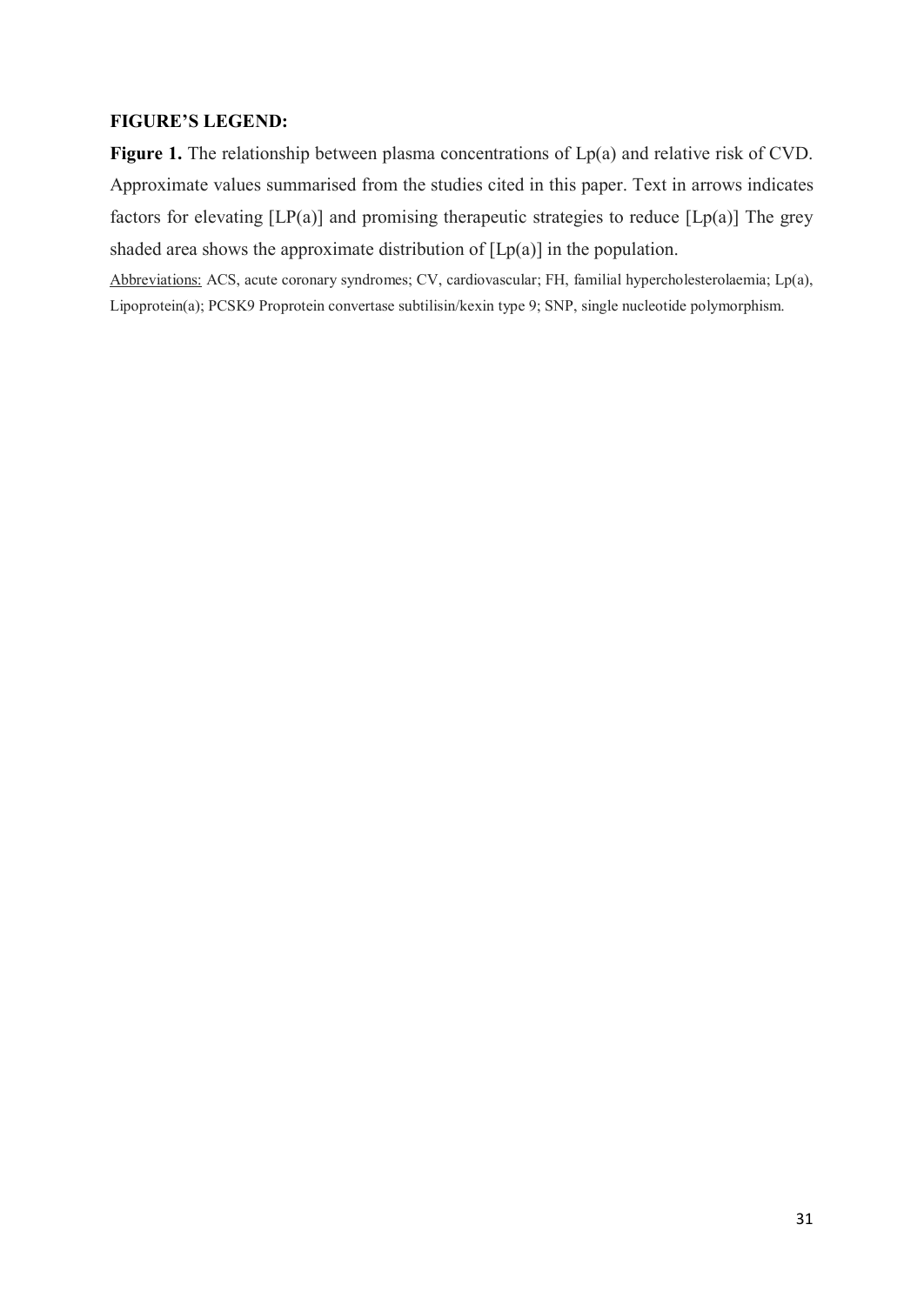# **FIGURE'S LEGEND:**

Figure 1. The relationship between plasma concentrations of Lp(a) and relative risk of CVD. Approximate values summarised from the studies cited in this paper. Text in arrows indicates factors for elevating  $[LP(a)]$  and promising therapeutic strategies to reduce  $[Lp(a)]$  The grey shaded area shows the approximate distribution of  $[Lp(a)]$  in the population.

Abbreviations: ACS, acute coronary syndromes; CV, cardiovascular; FH, familial hypercholesterolaemia; Lp(a), Lipoprotein(a); PCSK9 Proprotein convertase subtilisin/kexin type 9; SNP, single nucleotide polymorphism.